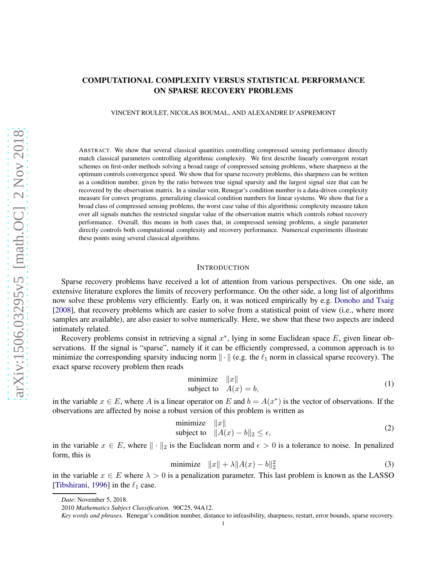# COMPUTATIONAL COMPLEXITY VERSUS STATISTICAL PERFORMANCE ON SPARSE RECOVERY PROBLEMS

VINCENT ROULET, NICOLAS BOUMAL, AND ALEXANDRE D'ASPREMONT

ABSTRACT. We show that several classical quantities controlling compressed sensing performance directly match classical parameters controlling algorithmic complexity. We first describe linearly convergent restart schemes on first-order methods solving a broad range of compressed sensing problems, where sharpness at the optimum controls convergence speed. We show that for sparse recovery problems, this sharpness can be written as a condition number, given by the ratio between true signal sparsity and the largest signal size that can be recovered by the observation matrix. In a similar vein, Renegar's condition number is a data-driven complexity measure for convex programs, generalizing classical condition numbers for linear systems. We show that for a broad class of compressed sensing problems, the worst case value of this algorithmic complexity measure taken over all signals matches the restricted singular value of the observation matrix which controls robust recovery performance. Overall, this means in both cases that, in compressed sensing problems, a single parameter directly controls both computational complexity and recovery performance. Numerical experiments illustrate these points using several classical algorithms.

#### **INTRODUCTION**

Sparse recovery problems have received a lot of attention from various perspectives. On one side, an extensive literature explores the limits of recovery performance. On the other side, a long list of algorithms now solve these problems very efficiently. Early on, it was noticed empirically by e.g. [Donoho and Tsaig](#page-23-0) [\[2008](#page-23-0)], that recovery problems which are easier to solve from a statistical point of view (i.e., where more samples are available), are also easier to solve numerically. Here, we show that these two aspects are indeed intimately related.

Recovery problems consist in retrieving a signal  $x^*$ , lying in some Euclidean space E, given linear observations. If the signal is "sparse", namely if it can be efficiently compressed, a common approach is to minimize the corresponding sparsity inducing norm  $\|\cdot\|$  (e.g. the  $\ell_1$  norm in classical sparse recovery). The exact sparse recovery problem then reads

<span id="page-0-0"></span>minimize 
$$
||x||
$$
  
subject to  $A(x) = b$ , (1)

in the variable  $x \in E$ , where A is a linear operator on E and  $b = A(x^*)$  is the vector of observations. If the observations are affected by noise a robust version of this problem is written as

minimize 
$$
||x||
$$
  
subject to  $||A(x) - b||_2 \le \epsilon$ , (2)

in the variable  $x \in E$ , where  $\|\cdot\|_2$  is the Euclidean norm and  $\epsilon > 0$  is a tolerance to noise. In penalized form, this is

> minimize  $||x|| + \lambda ||A(x) - b||_2^2$ (3)

in the variable  $x \in E$  where  $\lambda > 0$  is a penalization parameter. This last problem is known as the LASSO [\[Tibshirani,](#page-24-0) [1996](#page-24-0)] in the  $\ell_1$  case.

*Date*: November 5, 2018.

<sup>2010</sup> *Mathematics Subject Classification.* 90C25, 94A12.

*Key words and phrases.* Renegar's condition number, distance to infeasibility, sharpness, restart, error bounds, sparse recovery.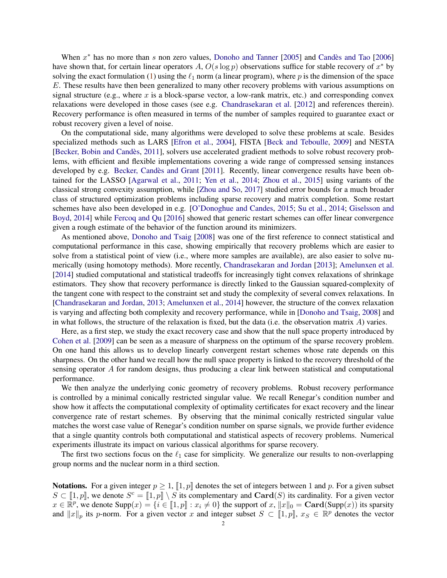When  $x^*$  has no more than s non zero values, [Donoho and Tanner](#page-23-1) [\[2005\]](#page-23-1) and Candès and Tao [\[2006](#page-23-2)] have shown that, for certain linear operators A,  $O(s \log p)$  observations suffice for stable recovery of  $x^*$  by solving the exact formulation [\(1\)](#page-0-0) using the  $\ell_1$  norm (a linear program), where p is the dimension of the space E. These results have then been generalized to many other recovery problems with various assumptions on signal structure (e.g., where x is a block-sparse vector, a low-rank matrix, etc.) and corresponding convex relaxations were developed in those cases (see e.g. [Chandrasekaran et al.](#page-23-3) [\[2012](#page-23-3)] and references therein). Recovery performance is often measured in terms of the number of samples required to guarantee exact or robust recovery given a level of noise.

On the computational side, many algorithms were developed to solve these problems at scale. Besides specialized methods such as LARS [\[Efron et al.](#page-23-4), [2004\]](#page-23-4), FISTA [\[Beck and Teboulle,](#page-22-0) [2009](#page-22-0)] and NESTA [\[Becker, Bobin and Cand`es](#page-22-1), [2011\]](#page-22-1), solvers use accelerated gradient methods to solve robust recovery problems, with efficient and flexible implementations covering a wide range of compressed sensing instances developed by e.g. Becker, Candès and Grant [\[2011\]](#page-22-2). Recently, linear convergence results have been obtained for the LASSO [\[Agarwal et al.](#page-22-3), [2011;](#page-22-3) [Yen et al.](#page-24-1), [2014;](#page-24-1) [Zhou et al.](#page-24-2), [2015\]](#page-24-2) using variants of the classical strong convexity assumption, while [\[Zhou and So](#page-24-3), [2017\]](#page-24-3) studied error bounds for a much broader class of structured optimization problems including sparse recovery and matrix completion. Some restart sche[mes have also been developed in e.g.](#page-23-5) [\[O'Donoghue and Candes](#page-24-4)[,](#page-23-5) [2015](#page-24-4); [Su et al.,](#page-24-5) [2014](#page-24-5); Giselsson and Boyd, [2014\]](#page-23-5) while [Fercoq and Qu](#page-23-6) [\[2016\]](#page-23-6) showed that generic restart schemes can offer linear convergence given a rough estimate of the behavior of the function around its minimizers.

As mentioned above, [Donoho and Tsaig](#page-23-0) [\[2008](#page-23-0)] was one of the first reference to connect statistical and computational performance in this case, showing empirically that recovery problems which are easier to solve from a statistical point of view (i.e., where more samples are available), are also easier to solve numerically (using homotopy methods). More recently, [Chandrasekaran and Jordan](#page-23-7) [\[2013](#page-23-7)]; [Amelunxen et al.](#page-22-4) [\[2014](#page-22-4)] studied computational and statistical tradeoffs for increasingly tight convex relaxations of shrinkage estimators. They show that recovery performance is directly linked to the Gaussian squared-complexity of the tangent cone with respect to the constraint set and study the complexity of several convex relaxations. In [\[Chandrasekaran and Jordan,](#page-23-7) [2013;](#page-23-7) [Amelunxen et al.](#page-22-4), [2014](#page-22-4)] however, the structure of the convex relaxation is varying and affecting both complexity and recovery performance, while in [\[Donoho and Tsaig,](#page-23-0) [2008\]](#page-23-0) and in what follows, the structure of the relaxation is fixed, but the data (i.e. the observation matrix  $A$ ) varies.

Here, as a first step, we study the exact recovery case and show that the null space property introduced by [Cohen et al.](#page-23-8) [\[2009\]](#page-23-8) can be seen as a measure of sharpness on the optimum of the sparse recovery problem. On one hand this allows us to develop linearly convergent restart schemes whose rate depends on this sharpness. On the other hand we recall how the null space property is linked to the recovery threshold of the sensing operator A for random designs, thus producing a clear link between statistical and computational performance.

We then analyze the underlying conic geometry of recovery problems. Robust recovery performance is controlled by a minimal conically restricted singular value. We recall Renegar's condition number and show how it affects the computational complexity of optimality certificates for exact recovery and the linear convergence rate of restart schemes. By observing that the minimal conically restricted singular value matches the worst case value of Renegar's condition number on sparse signals, we provide further evidence that a single quantity controls both computational and statistical aspects of recovery problems. Numerical experiments illustrate its impact on various classical algorithms for sparse recovery.

The first two sections focus on the  $\ell_1$  case for simplicity. We generalize our results to non-overlapping group norms and the nuclear norm in a third section.

**Notations.** For a given integer  $p \ge 1$ ,  $[1, p]$  denotes the set of integers between 1 and p. For a given subset  $S \subset \llbracket 1,p \rrbracket$ , we denote  $S^c = \llbracket 1,p \rrbracket \setminus S$  its complementary and  $\text{Card}(S)$  its cardinality. For a given vector  $x \in \mathbb{R}^p$ , we denote  $\text{Supp}(x) = \{i \in [1, p] : x_i \neq 0\}$  the support of  $x$ ,  $\|x\|_0 = \text{Card}(\text{Supp}(x))$  its sparsity and  $||x||_p$  its p-norm. For a given vector x and integer subset  $S \subset [1,p], x_S \in \mathbb{R}^p$  denotes the vector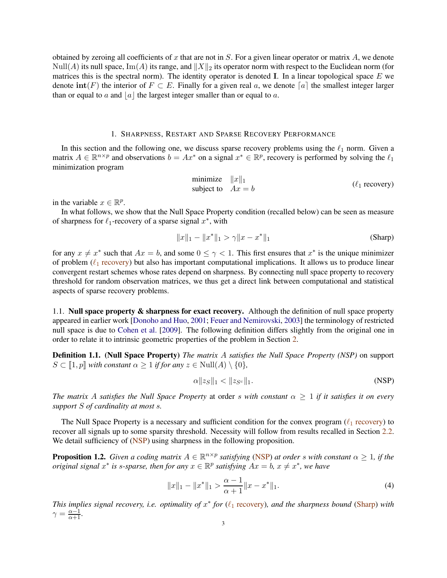obtained by zeroing all coefficients of x that are not in  $S$ . For a given linear operator or matrix  $A$ , we denote  $\text{Null}(A)$  its null space,  $\text{Im}(A)$  its range, and  $||X||_2$  its operator norm with respect to the Euclidean norm (for matrices this is the spectral norm). The identity operator is denoted I. In a linear topological space  $E$  we denote  $\text{int}(F)$  the interior of  $F \subset E$ . Finally for a given real a, we denote [a] the smallest integer larger than or equal to a and  $|a|$  the largest integer smaller than or equal to a.

## 1. SHARPNESS, RESTART AND SPARSE RECOVERY PERFORMANCE

In this section and the following one, we discuss sparse recovery problems using the  $\ell_1$  norm. Given a matrix  $A \in \mathbb{R}^{n \times p}$  and observations  $b = Ax^*$  on a signal  $x^* \in \mathbb{R}^p$ , recovery is performed by solving the  $\ell_1$ minimization program

<span id="page-2-2"></span><span id="page-2-0"></span>minimize 
$$
||x||_1
$$
  
subject to  $Ax = b$  \t( $\ell_1$  recovery)

in the variable  $x \in \mathbb{R}^p$ .

In what follows, we show that the Null Space Property condition (recalled below) can be seen as measure of sharpness for  $\ell_1$ -recovery of a sparse signal  $x^*$ , with

$$
||x||_1 - ||x^*||_1 > \gamma ||x - x^*||_1
$$
 (Sharp)

for any  $x \neq x^*$  such that  $Ax = b$ , and some  $0 \leq \gamma < 1$ . This first ensures that  $x^*$  is the unique minimizer of problem ( $\ell_1$  [recovery\)](#page-2-0) but also has important computational implications. It allows us to produce linear convergent restart schemes whose rates depend on sharpness. By connecting null space property to recovery threshold for random observation matrices, we thus get a direct link between computational and statistical aspects of sparse recovery problems.

1.1. Null space property  $\&$  sharpness for exact recovery. Although the definition of null space property appeared in earlier work [\[Donoho and Huo](#page-23-9), [2001;](#page-23-9) [Feuer and Nemirovski](#page-23-10), [2003](#page-23-10)] the terminology of restricted null space is due to [Cohen et al.](#page-23-8) [\[2009\]](#page-23-8). The following definition differs slightly from the original one in order to relate it to intrinsic geometric properties of the problem in Section [2.](#page-7-0)

Definition 1.1. (Null Space Property) *The matrix* A *satisfies the Null Space Property (NSP)* on support  $S \subset [1, p]$  *with constant*  $\alpha \geq 1$  *if for any*  $z \in Null(A) \setminus \{0\},$ 

<span id="page-2-1"></span>
$$
\alpha \|z_S\|_1 < \|z_{S^c}\|_1. \tag{NSP}
$$

*The matrix A satisfies the Null Space Property* at order s *with constant*  $\alpha \geq 1$  *if it satisfies it on every support* S *of cardinality at most* s*.*

The Null Space Property is a necessary and sufficient condition for the convex program ( $\ell_1$  [recovery\)](#page-2-0) to recover all signals up to some sparsity threshold. Necessity will follow from results recalled in Section [2.2.](#page-8-0) We detail sufficiency of [\(NSP\)](#page-2-1) using sharpness in the following proposition.

**Proposition 1.2.** *Given a coding matrix*  $A \in \mathbb{R}^{n \times p}$  *satisfying* [\(NSP\)](#page-2-1) *at order s with constant*  $\alpha \geq 1$ *, if the original signal*  $x^*$  *is s-sparse, then for any*  $x \in \mathbb{R}^p$  *satisfying*  $Ax = b$ ,  $x \neq x^*$ *, we have* 

$$
||x||_1 - ||x^*||_1 > \frac{\alpha - 1}{\alpha + 1} ||x - x^*||_1.
$$
\n(4)

*This implies signal recovery, i.e. optimality of*  $x^*$  *for* ( $\ell_1$  [recovery\)](#page-2-0)*, and the sharpness bound* [\(Sharp\)](#page-2-2) *with*  $\gamma = \frac{\alpha - 1}{\alpha + 1}.$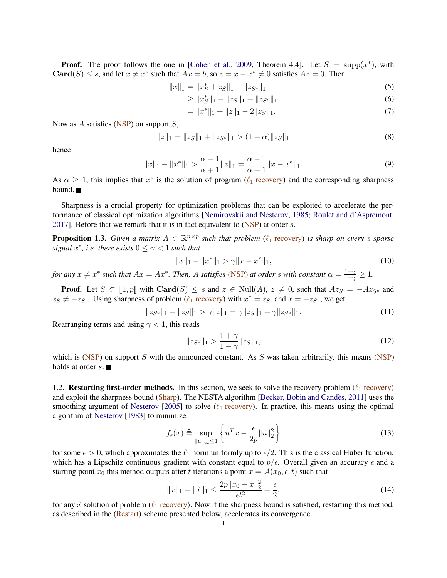**Proof.** The proof follows the one in [\[Cohen et al.](#page-23-8), [2009](#page-23-8), Theorem 4.4]. Let  $S = \text{supp}(x^*)$ , with Card(S)  $\leq$  s, and let  $x \neq x^*$  such that  $Ax = b$ , so  $z = x - x^* \neq 0$  satisfies  $Az = 0$ . Then

$$
||x||_1 = ||x_S^* + z_S||_1 + ||z_{S^c}||_1
$$
\n(5)

$$
\geq \|x_{S}^{*}\|_{1} - \|z_{S}\|_{1} + \|z_{S^{c}}\|_{1}
$$
\n<sup>(6)</sup>

$$
= \|x^*\|_1 + \|z\|_1 - 2\|z_S\|_1. \tag{7}
$$

Now as  $A$  satisfies [\(NSP\)](#page-2-1) on support  $S$ ,

$$
||z||_1 = ||z_S||_1 + ||z_{S^c}||_1 > (1+\alpha)||z_S||_1
$$
\n(8)

hence

$$
||x||_1 - ||x^*||_1 > \frac{\alpha - 1}{\alpha + 1} ||z||_1 = \frac{\alpha - 1}{\alpha + 1} ||x - x^*||_1.
$$
\n(9)

As  $\alpha \geq 1$ , this implies that  $x^*$  is the solution of program ( $\ell_1$  [recovery\)](#page-2-0) and the corresponding sharpness bound.

Sharpness is a crucial property for optimization problems that can be exploited to accelerate the performance of classical optimization algorithms [\[Nemirovskii and Nesterov,](#page-24-6) [1985;](#page-24-6) [Roulet and d'Aspremont](#page-24-7), [2017\]](#page-24-7). Before that we remark that it is in fact equivalent to [\(NSP\)](#page-2-1) at order s.

<span id="page-3-2"></span>**Proposition 1.3.** *Given a matrix*  $A \in \mathbb{R}^{n \times p}$  *such that problem* ( $\ell_1$  [recovery\)](#page-2-0) *is sharp on every s-sparse*  $signal x^*$ , *i.e. there exists*  $0 \leq \gamma < 1$  *such that* 

$$
||x||_1 - ||x^*||_1 > \gamma ||x - x^*||_1,
$$
\n(10)

*for any*  $x \neq x^*$  *such that*  $Ax = Ax^*$ *. Then,* A *satisfies* [\(NSP\)](#page-2-1) *at order s with constant*  $\alpha = \frac{1+\gamma}{1-\gamma} \ge 1$ *.* 

**Proof.** Let  $S \subset [1, p]$  with  $\text{Card}(S) \leq s$  and  $z \in \text{Null}(A)$ ,  $z \neq 0$ , such that  $Az_S = -Az_{S^c}$  and  $z_S \neq -z_{S^c}$ . Using sharpness of problem ( $\ell_1$  [recovery\)](#page-2-0) with  $x^* = z_S$ , and  $x = -z_{S^c}$ , we get

$$
||z_{S^c}||_1 - ||z_S||_1 > \gamma ||z||_1 = \gamma ||z_S||_1 + \gamma ||z_{S^c}||_1.
$$
\n(11)

Rearranging terms and using  $\gamma$  < 1, this reads

$$
||z_{S^c}||_1 > \frac{1+\gamma}{1-\gamma} ||z_S||_1,
$$
\n(12)

which is [\(NSP\)](#page-2-1) on support  $S$  with the announced constant. As  $S$  was taken arbitrarily, this means (NSP) holds at order  $s$ .

<span id="page-3-1"></span>1.2. Restarting first-order methods. In this section, we seek to solve the recovery problem ( $\ell_1$  [recovery\)](#page-2-0) and exploit the sharpness bound [\(Sharp\)](#page-2-2). The NESTA algorithm [Becker, Bobin and Candès, [2011\]](#page-22-1) uses the smoothing argument of [Nesterov](#page-24-8) [\[2005\]](#page-24-8) to solve ( $\ell_1$  [recovery\)](#page-2-0). In practice, this means using the optimal algorithm of [Nesterov](#page-24-9) [\[1983](#page-24-9)] to minimize

$$
f_{\epsilon}(x) \triangleq \sup_{\|u\|_{\infty} \le 1} \left\{ u^T x - \frac{\epsilon}{2p} \|u\|_{2}^{2} \right\}
$$
 (13)

for some  $\epsilon > 0$ , which approximates the  $\ell_1$  norm uniformly up to  $\epsilon/2$ . This is the classical Huber function, which has a Lipschitz continuous gradient with constant equal to  $p/\epsilon$ . Overall given an accuracy  $\epsilon$  and a starting point  $x_0$  this method outputs after t iterations a point  $x = A(x_0, \epsilon, t)$  such that

<span id="page-3-0"></span>
$$
||x||_1 - ||\hat{x}||_1 \le \frac{2p||x_0 - \hat{x}||_2^2}{\epsilon t^2} + \frac{\epsilon}{2},\tag{14}
$$

for any  $\hat{x}$  solution of problem ( $\ell_1$  [recovery\)](#page-2-0). Now if the sharpness bound is satisfied, restarting this method, as described in the [\(Restart\)](#page-4-0) scheme presented below, accelerates its convergence.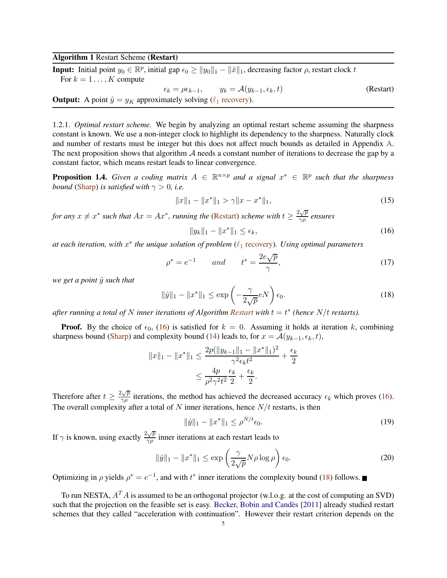# Algorithm 1 Restart Scheme (Restart)

**Input:** Initial point  $y_0 \in \mathbb{R}^p$ , initial gap  $\epsilon_0 \ge ||y_0||_1 - ||\hat{x}||_1$ , decreasing factor  $\rho$ , restart clock t For  $k = 1 \ldots, K$  compute

$$
\epsilon_k = \rho \epsilon_{k-1}, \qquad y_k = \mathcal{A}(y_{k-1}, \epsilon_k, t)
$$
 (Restart)  
**Output:** A point  $\hat{y} = y_K$  approximately solving  $(\ell_1 \text{ recovery})$ .

1.2.1. *Optimal restart scheme.* We begin by analyzing an optimal restart scheme assuming the sharpness constant is known. We use a non-integer clock to highlight its dependency to the sharpness. Naturally clock and number of restarts must be integer but this does not affect much bounds as detailed in Appendix [A.](#page-25-0) The next proposition shows that algorithm  $A$  needs a constant number of iterations to decrease the gap by a constant factor, which means restart leads to linear convergence.

<span id="page-4-4"></span>**Proposition 1.4.** Given a coding matrix  $A \in \mathbb{R}^{n \times p}$  and a signal  $x^* \in \mathbb{R}^p$  such that the sharpness *bound* [\(Sharp\)](#page-2-2) *is satisfied with*  $\gamma > 0$ , *i.e.* 

<span id="page-4-0"></span>
$$
||x||_1 - ||x^*||_1 > \gamma ||x - x^*||_1,
$$
\n(15)

*for any*  $x \neq x^*$  *such that*  $Ax = Ax^*$ *, running the* [\(Restart\)](#page-4-0) *scheme with*  $t \geq \frac{2\sqrt{p}}{\gamma \rho}$  $\frac{\partial \nabla P}{\partial \rho}$  ensures

<span id="page-4-1"></span>
$$
||y_k||_1 - ||x^*||_1 \le \epsilon_k,\tag{16}
$$

*at each iteration, with* x ∗ *the unique solution of problem* (ℓ<sup>1</sup> [recovery\)](#page-2-0)*. Using optimal parameters*

<span id="page-4-3"></span>
$$
\rho^* = e^{-1} \qquad and \qquad t^* = \frac{2e\sqrt{p}}{\gamma},\tag{17}
$$

*we get a point*  $\hat{y}$  *such that* 

<span id="page-4-2"></span>
$$
\|\hat{y}\|_1 - \|x^*\|_1 \le \exp\left(-\frac{\gamma}{2\sqrt{p}}eN\right)\epsilon_0. \tag{18}
$$

after running a total of  $N$  inner iterations of Algorithm [Restart](#page-4-0) with  $t = t^*$  (hence  $N/t$  restarts).

**Proof.** By the choice of  $\epsilon_0$ , [\(16\)](#page-4-1) is satisfied for  $k = 0$ . Assuming it holds at iteration k, combining sharpness bound [\(Sharp\)](#page-2-2) and complexity bound [\(14\)](#page-3-0) leads to, for  $x = \mathcal{A}(y_{k-1}, \epsilon_k, t)$ ,

$$
||x||_1 - ||x^*||_1 \le \frac{2p(||y_{k-1}||_1 - ||x^*||_1)^2}{\gamma^2 \epsilon_k t^2} + \frac{\epsilon_k}{2}
$$

$$
\le \frac{4p}{\rho^2 \gamma^2 t^2} \frac{\epsilon_k}{2} + \frac{\epsilon_k}{2}.
$$

Therefore after  $t \geq \frac{2\sqrt{p}}{\gamma \rho}$  $\frac{\partial \mathcal{L}^p}{\partial \rho}$  iterations, the method has achieved the decreased accuracy  $\epsilon_k$  which proves [\(16\)](#page-4-1). The overall complexity after a total of N inner iterations, hence  $N/t$  restarts, is then

$$
\|\hat{y}\|_1 - \|x^*\|_1 \le \rho^{N/t} \epsilon_0. \tag{19}
$$

If  $\gamma$  is known, using exactly  $\frac{2\sqrt{p}}{\gamma q}$  $\frac{\partial \sqrt{\rho}}{\partial \rho}$  inner iterations at each restart leads to

$$
\|\hat{y}\|_1 - \|x^*\|_1 \le \exp\left(\frac{\gamma}{2\sqrt{p}} N\rho \log \rho\right) \epsilon_0. \tag{20}
$$

Optimizing in  $\rho$  yields  $\rho^* = e^{-1}$ , and with  $t^*$  inner iterations the complexity bound [\(18\)](#page-4-2) follows.

To run NESTA,  $A^T A$  is assumed to be an orthogonal projector (w.l.o.g. at the cost of computing an SVD) such that the projection on the feasible set is easy. Becker, Bobin and Candès [\[2011\]](#page-22-1) already studied restart schemes that they called "acceleration with continuation". However their restart criterion depends on the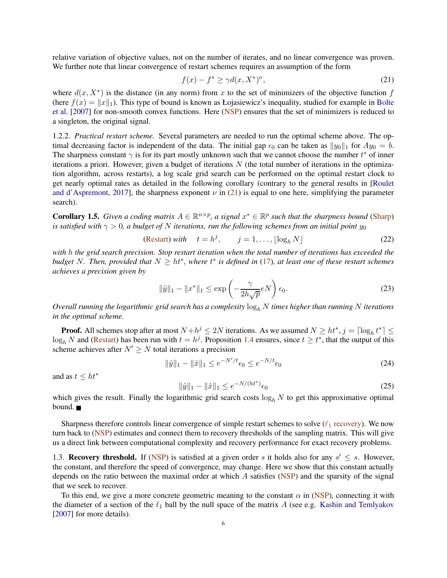relative variation of objective values, not on the number of iterates, and no linear convergence was proven. We further note that linear convergence of restart schemes requires an assumption of the form

<span id="page-5-0"></span>
$$
f(x) - f^* \ge \gamma d(x, X^*)^{\nu},\tag{21}
$$

where  $d(x, X^*)$  is the distance (in any norm) from x to the set of minimizers of the objective function f (here  $f(x) = ||x||_1$ [\). This type of bound is known as Łojasiewicz's inequality, studied for example in](#page-22-5) Bolte et al. [\[2007](#page-22-5)] for non-smooth convex functions. Here [\(NSP\)](#page-2-1) ensures that the set of minimizers is reduced to a singleton, the original signal.

<span id="page-5-2"></span>1.2.2. *Practical restart scheme.* Several parameters are needed to run the optimal scheme above. The optimal decreasing factor is independent of the data. The initial gap  $\epsilon_0$  can be taken as  $||y_0||_1$  for  $Ay_0 = b$ . The sharpness constant  $\gamma$  is for its part mostly unknown such that we cannot choose the number  $t^*$  of inner iterations a priori. However, given a budget of iterations  $N$  (the total number of iterations in the optimization algorithm, across restarts), a log scale grid search can be performed on the optimal restart clock to get nearly optim[al rates as detailed in the following corollary \(contrary to the general results in \[](#page-24-7)Roulet and d'Aspremont, [2017](#page-24-7)], the sharpness exponent  $\nu$  in [\(21\)](#page-5-0) is equal to one here, simplifying the parameter search).

**Corollary 1.5.** *Given a coding matrix*  $A \in \mathbb{R}^{n \times p}$ , *a signal*  $x^* \in \mathbb{R}^p$  *such that the sharpness bound* [\(Sharp\)](#page-2-2) *is satisfied with*  $\gamma > 0$ , a budget of N iterations, run the following schemes from an initial point  $y_0$ 

(Restart) with 
$$
t = h^j
$$
,  $j = 1, ..., \lfloor \log_h N \rfloor$  (22)

*with* h *the grid search precision. Stop restart iteration when the total number of iterations has exceeded the budget* N*. Then, provided that* N ≥ ht<sup>∗</sup> *, where* t ∗ *is defined in* [\(17\)](#page-4-3)*, at least one of these restart schemes achieves a precision given by*

$$
\|\hat{y}\|_1 - \|x^*\|_1 \le \exp\left(-\frac{\gamma}{2h\sqrt{p}}eN\right)\epsilon_0. \tag{23}
$$

*Overall running the logarithmic grid search has a complexity*  $\log_h N$  *times higher than running* N *iterations in the optimal scheme.*

**Proof.** All schemes stop after at most  $N + h^j \le 2N$  iterations. As we assumed  $N \ge ht^*, j = \lceil \log_h t^* \rceil \le 2N$  $\log_h N$  and [\(Restart\)](#page-4-0) has been run with  $t = h^j$ . Proposition [1.4](#page-4-4) ensures, since  $t \ge t^*$ , that the output of this scheme achieves after  $N' \geq N$  total iterations a precision

$$
\|\hat{y}\|_{1} - \|\hat{x}\|_{1} \le e^{-N'/t}\epsilon_{0} \le e^{-N/t}\epsilon_{0}
$$
\n(24)

and as  $t \leq ht^*$ 

$$
\|\hat{y}\|_{1} - \|\hat{x}\|_{1} \le e^{-N/(ht^*)}\epsilon_0
$$
\n(25)

which gives the result. Finally the logarithmic grid search costs  $\log_h N$  to get this approximative optimal bound.

Sharpness therefore controls linear convergence of simple restart schemes to solve  $(\ell_1$  [recovery\)](#page-2-0). We now turn back to [\(NSP\)](#page-2-1) estimates and connect them to recovery thresholds of the sampling matrix. This will give us a direct link between computational complexity and recovery performance for exact recovery problems.

<span id="page-5-1"></span>1.3. Recovery threshold. If [\(NSP\)](#page-2-1) is satisfied at a given order s it holds also for any  $s' \leq s$ . However, the constant, and therefore the speed of convergence, may change. Here we show that this constant actually depends on the ratio between the maximal order at which  $\vec{A}$  satisfies [\(NSP\)](#page-2-1) and the sparsity of the signal that we seek to recover.

To this end, we give a more concrete geometric meaning to the constant  $\alpha$  in [\(NSP\)](#page-2-1), connecting it with the diameter of a section of the  $\ell_1$  ball by the null space of the matrix A (see e.g. [Kashin and Temlyakov](#page-23-11) [\[2007](#page-23-11)] for more details).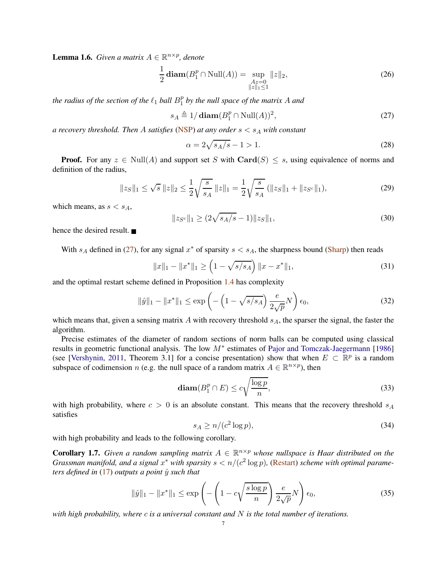**Lemma 1.6.** *Given a matrix*  $A \in \mathbb{R}^{n \times p}$ *, denote* 

$$
\frac{1}{2}\operatorname{diam}(B_1^p \cap \text{Null}(A)) = \sup_{\substack{Az = 0 \\ \|z\|_1 \le 1}} \|z\|_2,\tag{26}
$$

*the radius of the section of the*  $\ell_1$  *ball*  $B_1^p$ 1 *by the null space of the matrix* A *and*

<span id="page-6-0"></span>
$$
s_A \triangleq 1/\operatorname{diam}(B_1^p \cap \text{Null}(A))^2, \tag{27}
$$

*a recovery threshold. Then A satisfies* [\(NSP\)](#page-2-1) *at any order*  $s < s<sub>A</sub>$  *with constant* 

$$
\alpha = 2\sqrt{s_A/s} - 1 > 1.
$$
 (28)

**Proof.** For any  $z \in Null(A)$  and support set S with  $Card(S) \leq s$ , using equivalence of norms and definition of the radius,

$$
||z_S||_1 \le \sqrt{s} ||z||_2 \le \frac{1}{2} \sqrt{\frac{s}{s_A}} ||z||_1 = \frac{1}{2} \sqrt{\frac{s}{s_A}} (||z_S||_1 + ||z_{S^c}||_1),
$$
\n(29)

which means, as  $s < s<sub>A</sub>$ ,

$$
||z_{S^c}||_1 \ge (2\sqrt{s_A/s} - 1)||z_S||_1,
$$
\n(30)

hence the desired result.

With  $s_A$  defined in [\(27\)](#page-6-0), for any signal  $x^*$  of sparsity  $s < s_A$ , the sharpness bound [\(Sharp\)](#page-2-2) then reads

$$
||x||_1 - ||x^*||_1 \ge \left(1 - \sqrt{s/s_A}\right) ||x - x^*||_1,\tag{31}
$$

and the optimal restart scheme defined in Proposition [1.4](#page-4-4) has complexity

$$
\|\hat{y}\|_{1} - \|x^{*}\|_{1} \le \exp\left(-\left(1 - \sqrt{s/s_{A}}\right) \frac{e}{2\sqrt{p}} N\right) \epsilon_{0},\tag{32}
$$

which means that, given a sensing matrix  $A$  with recovery threshold  $s_A$ , the sparser the signal, the faster the algorithm.

Precise estimates of the diameter of random sections of norm balls can be computed using classical results in geometric functional analysis. The low  $M^*$  estimates of [Pajor and Tomczak-Jaegermann](#page-24-10) [\[1986](#page-24-10)] (see [\[Vershynin](#page-24-11), [2011,](#page-24-11) Theorem 3.1] for a concise presentation) show that when  $E \subset \mathbb{R}^p$  is a random subspace of codimension *n* (e.g. the null space of a random matrix  $A \in \mathbb{R}^{n \times p}$ ), then

$$
\operatorname{diam}(B_1^p \cap E) \le c \sqrt{\frac{\log p}{n}},\tag{33}
$$

with high probability, where  $c > 0$  is an absolute constant. This means that the recovery threshold  $s_A$ satisfies

$$
s_A \ge n/(c^2 \log p),\tag{34}
$$

with high probability and leads to the following corollary.

**Corollary 1.7.** Given a random sampling matrix  $A \in \mathbb{R}^{n \times p}$  whose nullspace is Haar distributed on the *Grassman manifold, and a signal*  $x^*$  with sparsity  $s < n/(c^2 \log p)$ , [\(Restart\)](#page-4-0) scheme with optimal parame*ters defined in*  $(17)$  *outputs a point*  $\hat{y}$  *such that* 

$$
\|\hat{y}\|_1 - \|x^*\|_1 \le \exp\left(-\left(1 - c\sqrt{\frac{s\log p}{n}}\right)\frac{e}{2\sqrt{p}}N\right)\epsilon_0,\tag{35}
$$

*with high probability, where* c *is a universal constant and* N *is the total number of iterations.*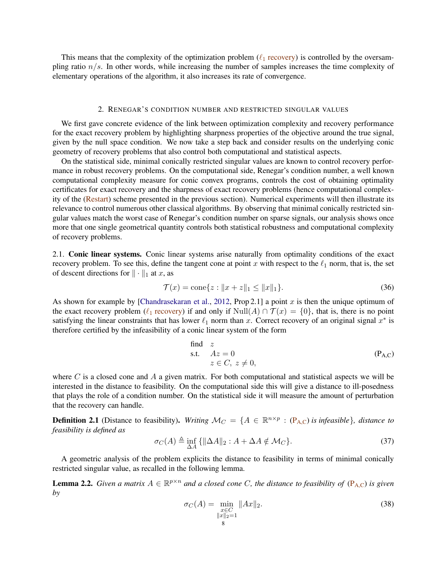This means that the complexity of the optimization problem ( $\ell_1$  [recovery\)](#page-2-0) is controlled by the oversampling ratio  $n/s$ . In other words, while increasing the number of samples increases the time complexity of elementary operations of the algorithm, it also increases its rate of convergence.

### 2. RENEGAR'S CONDITION NUMBER AND RESTRICTED SINGULAR VALUES

<span id="page-7-0"></span>We first gave concrete evidence of the link between optimization complexity and recovery performance for the exact recovery problem by highlighting sharpness properties of the objective around the true signal, given by the null space condition. We now take a step back and consider results on the underlying conic geometry of recovery problems that also control both computational and statistical aspects.

On the statistical side, minimal conically restricted singular values are known to control recovery performance in robust recovery problems. On the computational side, Renegar's condition number, a well known computational complexity measure for conic convex programs, controls the cost of obtaining optimality certificates for exact recovery and the sharpness of exact recovery problems (hence computational complexity of the [\(Restart\)](#page-4-0) scheme presented in the previous section). Numerical experiments will then illustrate its relevance to control numerous other classical algorithms. By observing that minimal conically restricted singular values match the worst case of Renegar's condition number on sparse signals, our analysis shows once more that one single geometrical quantity controls both statistical robustness and computational complexity of recovery problems.

<span id="page-7-6"></span>2.1. Conic linear systems. Conic linear systems arise naturally from optimality conditions of the exact recovery problem. To see this, define the tangent cone at point x with respect to the  $\ell_1$  norm, that is, the set of descent directions for  $\|\cdot\|_1$  at x, as

<span id="page-7-3"></span>
$$
\mathcal{T}(x) = \text{cone}\{z : ||x + z||_1 \le ||x||_1\}.
$$
\n(36)

As shown for example by [\[Chandrasekaran et al.](#page-23-3), [2012,](#page-23-3) Prop 2.1] a point x is then the unique optimum of the exact recovery problem ( $\ell_1$  [recovery\)](#page-2-0) if and only if Null(A)  $\cap$   $\mathcal{T}(x) = \{0\}$ , that is, there is no point satisfying the linear constraints that has lower  $\ell_1$  norm than x. Correct recovery of an original signal  $x^*$  is therefore certified by the infeasibility of a conic linear system of the form

<span id="page-7-1"></span>find z  
s.t. 
$$
Az = 0
$$
  
 $z \in C, z \neq 0$ , (P<sub>A,C</sub>)

where C is a closed cone and A a given matrix. For both computational and statistical aspects we will be interested in the distance to feasibility. On the computational side this will give a distance to ill-posedness that plays the role of a condition number. On the statistical side it will measure the amount of perturbation that the recovery can handle.

**Definition 2.1** (Distance to feasibility). *Writing*  $\mathcal{M}_C = \{A \in \mathbb{R}^{n \times p} : (\mathbf{P}_{A,C}) \text{ is infeasible}\}\$  $\mathcal{M}_C = \{A \in \mathbb{R}^{n \times p} : (\mathbf{P}_{A,C}) \text{ is infeasible}\}\$  $\mathcal{M}_C = \{A \in \mathbb{R}^{n \times p} : (\mathbf{P}_{A,C}) \text{ is infeasible}\}\$ *, distance to feasibility is defined as*

<span id="page-7-5"></span>
$$
\sigma_C(A) \triangleq \inf_{\Delta A} \{ \|\Delta A\|_2 : A + \Delta A \notin \mathcal{M}_C \}. \tag{37}
$$

A geometric analysis of the problem explicits the distance to feasibility in terms of minimal conically restricted singular value, as recalled in the following lemma.

<span id="page-7-4"></span>**Lemma 2.2.** *Given a matrix*  $A \in \mathbb{R}^{p \times n}$  *and a closed cone C, the distance to feasibility of*  $(P_{A,C})$  $(P_{A,C})$  $(P_{A,C})$  *is given by*

<span id="page-7-2"></span>
$$
\sigma_C(A) = \min_{\substack{x \in C \\ \|x\|_2 = 1}} \|Ax\|_2.
$$
\n(38)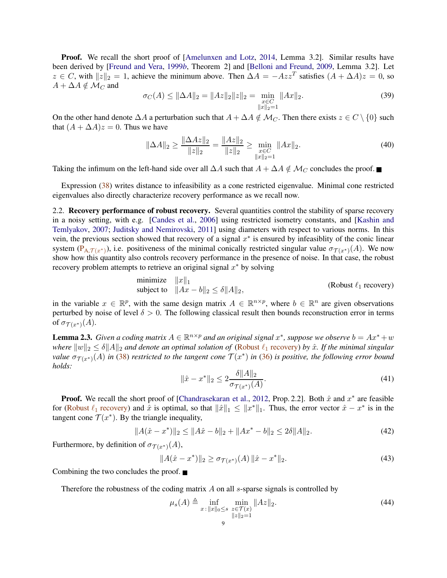**Proof.** We recall the short proof of [\[Amelunxen and Lotz,](#page-22-6) [2014](#page-22-6), Lemma 3.2]. Similar results have been derived by [\[Freund and Vera,](#page-23-12) [1999](#page-23-12)*b*, Theorem 2] and [\[Belloni and Freund](#page-22-7), [2009](#page-22-7), Lemma 3.2]. Let  $z \in C$ , with  $||z||_2 = 1$ , achieve the minimum above. Then  $\Delta A = -Azz^T$  satisfies  $(A + \Delta A)z = 0$ , so  $A + \Delta A \notin \mathcal{M}_C$  and

$$
\sigma_C(A) \le ||\Delta A||_2 = ||Az||_2 ||z||_2 = \min_{\substack{x \in C \\ ||x||_2 = 1}} ||Ax||_2.
$$
\n(39)

On the other hand denote  $\Delta A$  a perturbation such that  $A + \Delta A \notin \mathcal{M}_C$ . Then there exists  $z \in C \setminus \{0\}$  such that  $(A + \Delta A)z = 0$ . Thus we have

$$
\|\Delta A\|_2 \ge \frac{\|\Delta Az\|_2}{\|z\|_2} = \frac{\|Az\|_2}{\|z\|_2} \ge \min_{\substack{x \in C \\ \|x\|_2 = 1}} \|Ax\|_2. \tag{40}
$$

Taking the infimum on the left-hand side over all  $\Delta A$  such that  $A + \Delta A \notin \mathcal{M}_C$  concludes the proof. ■

Expression [\(38\)](#page-7-2) writes distance to infeasibility as a cone restricted eigenvalue. Minimal cone restricted eigenvalues also directly characterize recovery performance as we recall now.

<span id="page-8-0"></span>2.2. Recovery performance of robust recovery. Several quantities control the stability of sparse recovery in a noisy setting, with e.g. [\[Candes et al.,](#page-23-13) [2006](#page-23-13)[\] using restricted isometry constants, and \[](#page-23-11)Kashin and Temlyakov, [2007](#page-23-11); [Juditsky and Nemirovski,](#page-23-14) [2011\]](#page-23-14) using diameters with respect to various norms. In this vein, the previous section showed that recovery of a signal  $x^*$  is ensured by infeasiblity of the conic linear system  $(P_{A,T(x^*)})$ , i.e. positiveness of the minimal conically restricted singular value  $\sigma_{T(x^*)}(A)$ . We now show how this quantity also controls recovery performance in the presence of noise. In that case, the robust recovery problem attempts to retrieve an original signal  $x^*$  by solving

minimize 
$$
||x||_1
$$
  
subject to  $||Ax - b||_2 \le \delta ||A||_2$ , (Robust  $\ell_1$  recovery)

in the variable  $x \in \mathbb{R}^p$ , with the same design matrix  $A \in \mathbb{R}^{n \times p}$ , where  $b \in \mathbb{R}^n$  are given observations perturbed by noise of level  $\delta > 0$ . The following classical result then bounds reconstruction error in terms of  $\sigma_{\mathcal{T}(x^*)}(A)$ .

<span id="page-8-3"></span>**Lemma 2.3.** *Given a coding matrix*  $A \in \mathbb{R}^{n \times p}$  *and an original signal*  $x^*$ *, suppose we observe*  $b = Ax^* + w$ *where*  $||w||_2 \leq \delta ||A||_2$  *and denote an optimal solution of* (Robust  $\ell_1$  [recovery\)](#page-8-1) *by*  $\hat{x}$ *. If the minimal singular value*  $\sigma_{\mathcal{T}(x^*)}(A)$  *in* [\(38\)](#page-7-2) *restricted to the tangent cone*  $\mathcal{T}(x^*)$  *in* [\(36\)](#page-7-3) *is positive, the following error bound holds:*

<span id="page-8-1"></span>
$$
\|\hat{x} - x^*\|_2 \le 2 \frac{\delta \|A\|_2}{\sigma_{\mathcal{T}(x^*)}(A)}.\tag{41}
$$

**Proof.** We recall the short proof of [\[Chandrasekaran et al.](#page-23-3), [2012,](#page-23-3) Prop. 2.2]. Both  $\hat{x}$  and  $x^*$  are feasible for (Robust  $\ell_1$  [recovery\)](#page-8-1) and  $\hat{x}$  is optimal, so that  $\|\hat{x}\|_1 \leq \|x^*\|_1$ . Thus, the error vector  $\hat{x} - x^*$  is in the tangent cone  $\mathcal{T}(x^*)$ . By the triangle inequality,

$$
||A(\hat{x} - x^*)||_2 \le ||A\hat{x} - b||_2 + ||Ax^* - b||_2 \le 2\delta ||A||_2.
$$
 (42)

Furthermore, by definition of  $\sigma_{\mathcal{T}(x^*)}(A)$ ,

$$
||A(\hat{x} - x^*)||_2 \ge \sigma_{\mathcal{T}(x^*)}(A) ||\hat{x} - x^*||_2.
$$
\n(43)

Combining the two concludes the proof.

Therefore the robustness of the coding matrix  $A$  on all  $s$ -sparse signals is controlled by

<span id="page-8-2"></span>
$$
\mu_s(A) \triangleq \inf_{x \,:\, \|x\|_0 \le s} \min_{\substack{z \in \mathcal{T}(x) \\ \|z\|_2 = 1}} \|Az\|_2. \tag{44}
$$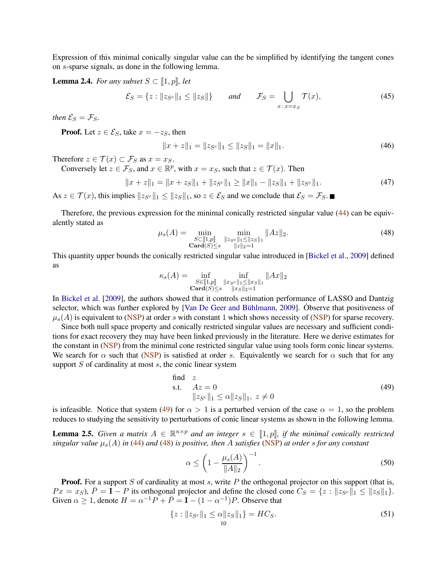Expression of this minimal conically singular value can the be simplified by identifying the tangent cones on s-sparse signals, as done in the following lemma.

**Lemma 2.4.** *For any subset*  $S \subset [1, p]$ *, let* 

$$
\mathcal{E}_S = \{ z : \|z_{S^c}\|_1 \le \|z_S\|\} \qquad \text{and} \qquad \mathcal{F}_S = \bigcup_{x \colon x = x_S} \mathcal{T}(x), \tag{45}
$$

*then*  $\mathcal{E}_S = \mathcal{F}_S$ *.* 

**Proof.** Let  $z \in \mathcal{E}_S$ , take  $x = -z_S$ , then

$$
||x+z||_1 = ||z_{S^c}||_1 \le ||z_S||_1 = ||x||_1.
$$
\n(46)

Therefore  $z \in \mathcal{T}(x) \subset \mathcal{F}_S$  as  $x = x_S$ .

Conversely let  $z \in \mathcal{F}_S$ , and  $x \in \mathbb{R}^p$ , with  $x = x_S$ , such that  $z \in \mathcal{T}(x)$ . Then

$$
||x+z||_1 = ||x+z_S||_1 + ||z_{S^c}||_1 \ge ||x||_1 - ||z_S||_1 + ||z_{S^c}||_1.
$$
\n(47)

As  $z \in \mathcal{T}(x)$ , this implies  $||z_{S}||_1 \leq ||z_S||_1$ , so  $z \in \mathcal{E}_S$  and we conclude that  $\mathcal{E}_S = \mathcal{F}_S$ .

Therefore, the previous expression for the minimal conically restricted singular value [\(44\)](#page-8-2) can be equivalently stated as

<span id="page-9-1"></span>
$$
\mu_s(A) = \min_{\substack{S \subset [\![1,p]\!] \\ \text{Card}(S) \le s}} \min_{\substack{\|z_{Sc}\|_1 \le \|z_{S}\|_1 \\ \|z\|_2 = 1}} \|Az\|_2. \tag{48}
$$

This quantity upper bounds the conically restricted singular value introduced in [\[Bickel et al.,](#page-22-8) [2009](#page-22-8)] defined as

$$
\kappa_s(A) = \inf_{\substack{S \in [\![1,p]\!] \\ \textbf{Card}(S) \le s}} \inf_{\substack{\|x_{S^c}\|_1 \le \|x_S\|_1 \\ \|x_S\|_2 = 1}} \|Ax\|_2
$$

In [Bickel et al.](#page-22-8) [\[2009](#page-22-8)], the authors showed that it controls estimation performance of LASSO and Dantzig selector, which was further explored by [Van De Geer and Bühlmann, [2009\]](#page-24-12). Observe that positiveness of  $\mu_s(A)$  is equivalent to [\(NSP\)](#page-2-1) at order s with constant 1 which shows necessity of (NSP) for sparse recovery.

Since both null space property and conically restricted singular values are necessary and sufficient conditions for exact recovery they may have been linked previously in the literature. Here we derive estimates for the constant in [\(NSP\)](#page-2-1) from the minimal cone restricted singular value using tools form conic linear systems. We search for  $\alpha$  such that [\(NSP\)](#page-2-1) is satisfied at order s. Equivalently we search for  $\alpha$  such that for any support  $S$  of cardinality at most  $s$ , the conic linear system

<span id="page-9-0"></span>find z  
s.t. 
$$
Az = 0
$$
  

$$
||z_{S^c}||_1 \le \alpha ||z_S||_1, z \ne 0
$$
 (49)

is infeasible. Notice that system [\(49\)](#page-9-0) for  $\alpha > 1$  is a perturbed version of the case  $\alpha = 1$ , so the problem reduces to studying the sensitivity to perturbations of conic linear systems as shown in the following lemma.

<span id="page-9-2"></span>**Lemma 2.5.** *Given a matrix*  $A \in \mathbb{R}^{n \times p}$  *and an integer*  $s \in [1, p]$ *, if the minimal conically restricted singular value*  $\mu_s(A)$  *in* [\(44\)](#page-8-2) *and* [\(48\)](#page-9-1) *is positive, then* A *satisfies* [\(NSP\)](#page-2-1) *at order s for any constant* 

$$
\alpha \le \left(1 - \frac{\mu_s(A)}{\|A\|_2}\right)^{-1}.\tag{50}
$$

**Proof.** For a support S of cardinality at most s, write P the orthogonal projector on this support (that is,  $Px = x_S$ ,  $\bar{P} = I - P$  its orthogonal projector and define the closed cone  $C_S = \{z : ||z_{Sc}||_1 \le ||z_S||_1\}.$ Given  $\alpha \geq 1$ , denote  $H = \alpha^{-1}P + \overline{P} = \mathbf{I} - (1 - \alpha^{-1})P$ . Observe that

$$
\{z : \|z_{S^c}\|_1 \le \alpha \|z_S\|_1\} = HC_S. \tag{51}
$$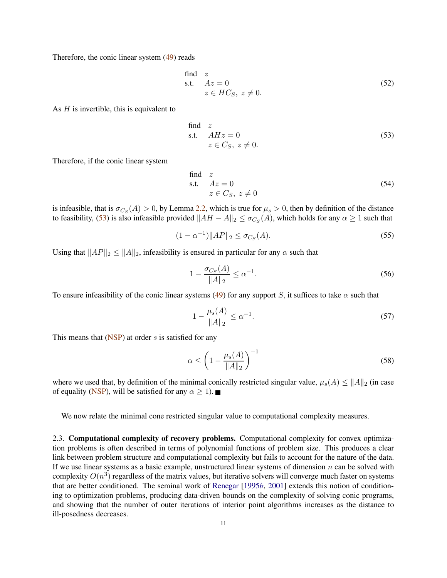Therefore, the conic linear system [\(49\)](#page-9-0) reads

find z  
s.t. 
$$
Az = 0
$$
  
 $z \in HC_S, z \neq 0.$  (52)

As  $H$  is invertible, this is equivalent to

<span id="page-10-0"></span>find z  
s.t. 
$$
AHz = 0
$$
  
 $z \in C_S, z \neq 0.$  (53)

Therefore, if the conic linear system

find z  
s.t. 
$$
Az = 0
$$
  
 $z \in C_S$ ,  $z \neq 0$  (54)

is infeasible, that is  $\sigma_{C_S}(A) > 0$ , by Lemma [2.2,](#page-7-4) which is true for  $\mu_s > 0$ , then by definition of the distance to feasibility, [\(53\)](#page-10-0) is also infeasible provided  $||AH - A||_2 \leq \sigma_{C_S}(A)$ , which holds for any  $\alpha \geq 1$  such that

$$
(1 - \alpha^{-1}) \|AP\|_2 \le \sigma_{C_S}(A). \tag{55}
$$

Using that  $||AP||_2 \le ||A||_2$ , infeasibility is ensured in particular for any  $\alpha$  such that

$$
1 - \frac{\sigma_{Cs}(A)}{\|A\|_2} \le \alpha^{-1}.
$$
\n(56)

To ensure infeasibility of the conic linear systems [\(49\)](#page-9-0) for any support S, it suffices to take  $\alpha$  such that

$$
1 - \frac{\mu_s(A)}{\|A\|_2} \le \alpha^{-1}.\tag{57}
$$

This means that  $(NSP)$  at order s is satisfied for any

$$
\alpha \le \left(1 - \frac{\mu_s(A)}{\|A\|_2}\right)^{-1} \tag{58}
$$

where we used that, by definition of the minimal conically restricted singular value,  $\mu_s(A) \leq ||A||_2$  (in case of equality [\(NSP\)](#page-2-1), will be satisfied for any  $\alpha \geq 1$ ).

We now relate the minimal cone restricted singular value to computational complexity measures.

<span id="page-10-1"></span>2.3. Computational complexity of recovery problems. Computational complexity for convex optimization problems is often described in terms of polynomial functions of problem size. This produces a clear link between problem structure and computational complexity but fails to account for the nature of the data. If we use linear systems as a basic example, unstructured linear systems of dimension  $n$  can be solved with complexity  $O(n^3)$  regardless of the matrix values, but iterative solvers will converge much faster on systems that are better conditioned. The seminal work of [Renegar](#page-24-13) [\[1995](#page-24-13)*b*, [2001](#page-24-14)] extends this notion of conditioning to optimization problems, producing data-driven bounds on the complexity of solving conic programs, and showing that the number of outer iterations of interior point algorithms increases as the distance to ill-posedness decreases.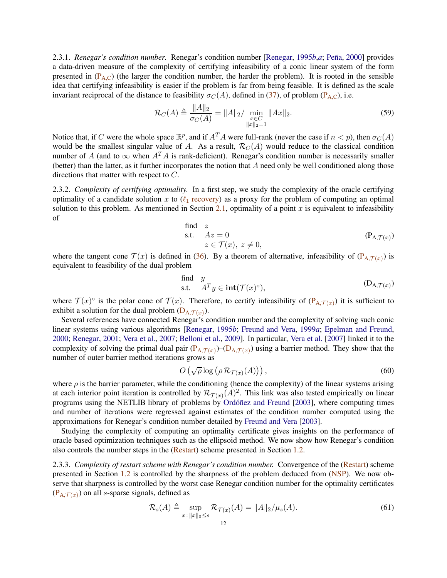2.3.1. *Reneg[a](#page-24-15)r's condition number.* Renegar's condition number [\[Renegar](#page-24-13), [1995](#page-24-13)*b,a*; Peña, [2000\]](#page-24-16) provides a data-driven measure of the complexity of certifying infeasibility of a conic linear system of the form presented in  $(P_{A,C})$  $(P_{A,C})$  $(P_{A,C})$  (the larger the condition number, the harder the problem). It is rooted in the sensible idea that certifying infeasibility is easier if the problem is far from being feasible. It is defined as the scale invariant reciprocal of the distance to feasibility  $\sigma_C(A)$ , defined in [\(37\)](#page-7-5), of problem (P<sub>[A,C](#page-7-1)</sub>), i.e.

<span id="page-11-3"></span>
$$
\mathcal{R}_C(A) \triangleq \frac{\|A\|_2}{\sigma_C(A)} = \|A\|_2 / \min_{\substack{x \in C \\ \|x\|_2 = 1}} \|Ax\|_2.
$$
\n(59)

Notice that, if C were the whole space  $\mathbb{R}^p$ , and if  $A^T A$  were full-rank (never the case if  $n < p$ ), then  $\sigma_C(A)$ would be the smallest singular value of A. As a result,  $\mathcal{R}_C(A)$  would reduce to the classical condition number of A (and to  $\infty$  when  $A^T A$  is rank-deficient). Renegar's condition number is necessarily smaller (better) than the latter, as it further incorporates the notion that A need only be well conditioned along those directions that matter with respect to C.

2.3.2. *Complexity of certifying optimality.* In a first step, we study the complexity of the oracle certifying optimality of a candidate solution x to ( $\ell_1$  [recovery\)](#page-2-0) as a proxy for the problem of computing an optimal solution to this problem. As mentioned in Section [2.1,](#page-7-6) optimality of a point  $x$  is equivalent to infeasibility of

<span id="page-11-0"></span>find z  
s.t. 
$$
Az = 0
$$
  
 $z \in \mathcal{T}(x), z \neq 0,$  (P<sub>A, \mathcal{T}(x))</sub>

where the tangent cone  $\mathcal{T}(x)$  is defined in [\(36\)](#page-7-3). By a theorem of alternative, infeasibility of  $(P_{A,\mathcal{T}(x)})$  is equivalent to feasibility of the dual problem

<span id="page-11-1"></span>find 
$$
y
$$
  
s.t.  $A^T y \in \text{int}(\mathcal{T}(x)^{\circ}),$   $(D_{A,\mathcal{T}(x)})$ 

where  $\mathcal{T}(x)$ <sup>o</sup> is the polar cone of  $\mathcal{T}(x)$ . Therefore, to certify infeasibility of  $(P_{A,\mathcal{T}(x)})$  it is sufficient to exhibit a solution for the dual problem  $(D_{A,\mathcal{T}(x)})$ .

Several references have connected Renegar's condition number and the complexity of solving such conic linear systems using various algorithms [\[Renegar,](#page-24-13) [1995](#page-24-13)*b*; [Freund and Vera,](#page-23-15) [1999](#page-23-15)*a*; [Epelman and Freund](#page-23-16), [2000;](#page-23-16) [Renegar,](#page-24-14) [2001;](#page-24-14) [Vera et al.,](#page-24-17) [2007](#page-24-17); [Belloni et al.](#page-22-9), [2009](#page-22-9)]. In particular, [Vera et al.](#page-24-17) [\[2007](#page-24-17)] linked it to the complexity of solving the primal dual pair  $(P_{A,\mathcal{T}(x)})-(D_{A,\mathcal{T}(x)})$  $(P_{A,\mathcal{T}(x)})-(D_{A,\mathcal{T}(x)})$  $(P_{A,\mathcal{T}(x)})-(D_{A,\mathcal{T}(x)})$  using a barrier method. They show that the number of outer barrier method iterations grows as

$$
O\left(\sqrt{\rho}\log\left(\rho\,\mathcal{R}_{\mathcal{T}(x)}(A)\right)\right),\tag{60}
$$

where  $\rho$  is the barrier parameter, while the conditioning (hence the complexity) of the linear systems arising at each interior point iteration is controlled by  $\mathcal{R}_{\mathcal{T}(x)}(A)^2$ . This link was also tested empirically on linear programs using the NETLIB library of problems by Ordóñez and Freund [\[2003\]](#page-24-18), where computing times and number of iterations were regressed against estimates of the condition number computed using the approximations for Renegar's condition number detailed by [Freund and Vera](#page-23-17) [\[2003](#page-23-17)].

Studying the complexity of computing an optimality certificate gives insights on the performance of oracle based optimization techniques such as the ellipsoid method. We now show how Renegar's condition also controls the number steps in the [\(Restart\)](#page-4-0) scheme presented in Section [1.2.](#page-3-1)

2.3.3. *Complexity of restart scheme with Renegar's condition number.* Convergence of the [\(Restart\)](#page-4-0) scheme presented in Section [1.2](#page-3-1) is controlled by the sharpness of the problem deduced from [\(NSP\)](#page-2-1). We now observe that sharpness is controlled by the worst case Renegar condition number for the optimality certificates  $(P_{A,\mathcal{T}(x)})$  $(P_{A,\mathcal{T}(x)})$  on all *s*-sparse signals, defined as

<span id="page-11-2"></span>
$$
\mathcal{R}_s(A) \triangleq \sup_{x: \|x\|_0 \le s} \mathcal{R}_{\mathcal{T}(x)}(A) = \|A\|_2 / \mu_s(A). \tag{61}
$$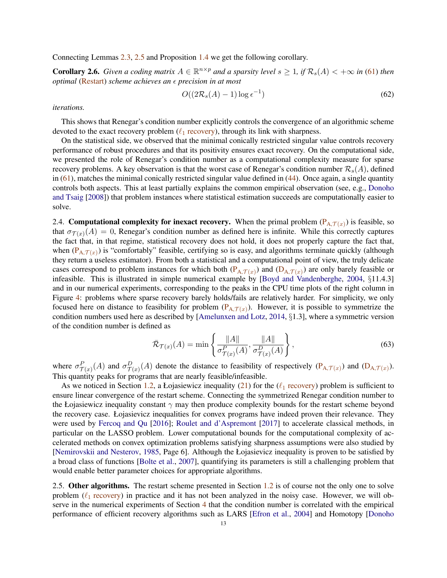Connecting Lemmas [2.3,](#page-8-3) [2.5](#page-9-2) and Proposition [1.4](#page-4-4) we get the following corollary.

**Corollary 2.6.** *Given a coding matrix*  $A \in \mathbb{R}^{n \times p}$  *and a sparsity level*  $s \geq 1$ *, if*  $\mathcal{R}_s(A) < +\infty$  *in* [\(61\)](#page-11-2) *then optimal* [\(Restart\)](#page-4-0) *scheme achieves an ∈ precision in at most* 

$$
O((2\mathcal{R}_s(A)-1)\log\epsilon^{-1})
$$
\n(62)

*iterations.*

This shows that Renegar's condition number explicitly controls the convergence of an algorithmic scheme devoted to the exact recovery problem ( $\ell_1$  [recovery\)](#page-2-0), through its link with sharpness.

On the statistical side, we observed that the minimal conically restricted singular value controls recovery performance of robust procedures and that its positivity ensures exact recovery. On the computational side, we presented the role of Renegar's condition number as a computational complexity measure for sparse recovery problems. A key observation is that the worst case of Renegar's condition number  $\mathcal{R}_s(A)$ , defined in  $(61)$ , matches the minimal conically restricted singular value defined in  $(44)$ . Once again, a single quantity controls [both aspects. This at least partially explains the](#page-23-0) common empirical observation (see, e.g., Donoho and Tsaig [\[2008](#page-23-0)]) that problem instances where statistical estimation succeeds are computationally easier to solve.

2.4. **Computational complexity for inexact recovery.** When the primal problem  $(P_{A,T(x)})$  is feasible, so that  $\sigma_{\mathcal{T}(x)}(A) = 0$ , Renegar's condition number as defined here is infinite. While this correctly captures the fact that, in that regime, statistical recovery does not hold, it does not properly capture the fact that, when  $(P_{A,\mathcal{T}(x)})$  is "comfortably" feasible, certifying so is easy, and algorithms terminate quickly (although they return a useless estimator). From both a statistical and a computational point of view, the truly delicate cases correspond to problem instances for which both  $(P_{A,\mathcal{T}(x)})$  and  $(D_{A,\mathcal{T}(x)})$  are only barely feasible or infeasible. This is illustrated in simple numerical example by [\[Boyd and Vandenberghe](#page-23-18), [2004](#page-23-18), §11.4.3] and in our numerical experiments, corresponding to the peaks in the CPU time plots of the right column in Figure [4:](#page-27-0) problems where sparse recovery barely holds/fails are relatively harder. For simplicity, we only focused here on distance to feasibility for problem  $(P_{A,\mathcal{T}(x)})$ . However, it is possible to symmetrize the condition numbers used here as described by [\[Amelunxen and Lotz](#page-22-6), [2014](#page-22-6), §1.3], where a symmetric version of the condition number is defined as

$$
\bar{\mathcal{R}}_{\mathcal{T}(x)}(A) = \min\left\{\frac{\|A\|}{\sigma_{\mathcal{T}(x)}^P(A)}, \frac{\|A\|}{\sigma_{\mathcal{T}(x)}^D(A)}\right\},\tag{63}
$$

where  $\sigma_{\mathcal{T}(x)}^P(A)$  and  $\sigma_{\mathcal{T}(x)}^D(A)$  denote the distance to feasibility of respectively  $(\mathbf{P}_{A,\mathcal{T}(x)})$  and  $(\mathbf{D}_{A,\mathcal{T}(x)})$ . This quantity peaks for programs that are nearly feasible/infeasible.

As we noticed in Section [1.2,](#page-3-1) a Łojasiewicz inequality [\(21\)](#page-5-0) for the ( $\ell_1$  [recovery\)](#page-2-0) problem is sufficient to ensure linear convergence of the restart scheme. Connecting the symmetrized Renegar condition number to the Łojasiewicz inequality constant  $\gamma$  may then produce complexity bounds for the restart scheme beyond the recovery case. Łojasievicz inequalities for convex programs have indeed proven their relevance. They were used by [Fercoq and Qu](#page-23-6) [\[2016\]](#page-23-6); [Roulet and d'Aspremont](#page-24-7) [\[2017](#page-24-7)] to accelerate classical methods, in particular on the LASSO problem. Lower computational bounds for the computational complexity of accelerated methods on convex optimization problems satisfying sharpness assumptions were also studied by [\[Nemirovskii and Nesterov,](#page-24-6) [1985,](#page-24-6) Page 6]. Although the Łojasievicz inequality is proven to be satisfied by a broad class of functions [\[Bolte et al.,](#page-22-5) [2007](#page-22-5)], quantifying its parameters is still a challenging problem that would enable better parameter choices for appropriate algorithms.

2.5. Other algorithms. The restart scheme presented in Section [1.2](#page-3-1) is of course not the only one to solve problem ( $\ell_1$  [recovery\)](#page-2-0) in practice and it has not been analyzed in the noisy case. However, we will observe in the numerical experiments of Section [4](#page-18-0) that the condition number is correlated with the empirical performance of efficient recovery algorithms such as LARS [\[Efron et al.](#page-23-4), [2004](#page-23-4)] and Homotopy [Donoho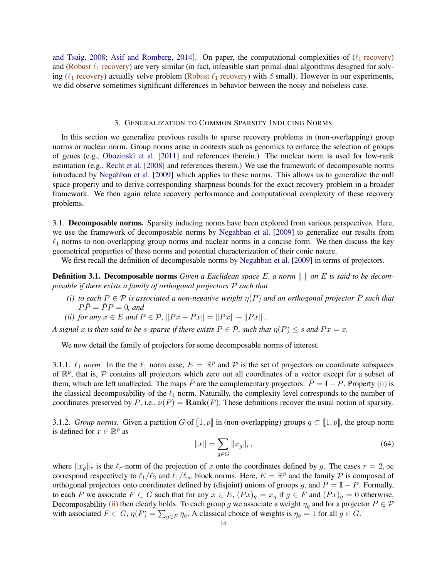and Tsaig, [2008](#page-23-0); [Asif and Romberg,](#page-22-10) [2014\]](#page-22-10). On paper, the computational complexities of  $(\ell_1 \text{ recovery})$ and (Robust  $\ell_1$  [recovery\)](#page-8-1) are very similar (in fact, infeasible start primal-dual algorithms designed for solving ( $\ell_1$  [recovery\)](#page-8-1) actually solve problem (Robust  $\ell_1$  recovery) with  $\delta$  small). However in our experiments, we did observe sometimes significant differences in behavior between the noisy and noiseless case.

### 3. GENERALIZATION TO COMMON SPARSITY INDUCING NORMS

In this section we generalize previous results to sparse recovery problems in (non-overlapping) group norms or nuclear norm. Group norms arise in contexts such as genomics to enforce the selection of groups of genes (e.g., [Obozinski et al.](#page-24-19) [\[2011\]](#page-24-19) and references therein.) The nuclear norm is used for low-rank estimation (e.g., [Recht et al.](#page-24-20) [\[2008](#page-24-20)] and references therein.) We use the framework of decomposable norms introduced by [Negahban et al.](#page-23-19) [\[2009](#page-23-19)] which applies to these norms. This allows us to generalize the null space property and to derive corresponding sharpness bounds for the exact recovery problem in a broader framework. We then again relate recovery performance and computational complexity of these recovery problems.

3.1. Decomposable norms. Sparsity inducing norms have been explored from various perspectives. Here, we use the framework of decomposable norms by [Negahban et al.](#page-23-19) [\[2009](#page-23-19)] to generalize our results from  $\ell_1$  norms to non-overlapping group norms and nuclear norms in a concise form. We then discuss the key geometrical properties of these norms and potential characterization of their conic nature.

We first recall the definition of decomposable norms by [Negahban et al.](#page-23-19) [\[2009\]](#page-23-19) in terms of projectors.

<span id="page-13-1"></span>**Definition 3.1. Decomposable norms** *Given a Euclidean space* E, a norm  $\| \cdot \|$  on E is said to be decom*posable if there exists a family of orthogonal projectors* P *such that*

- *(i) to each*  $P \in \mathcal{P}$  *is associated a non-negative weight*  $\eta(P)$  *and an orthogonal projector*  $\overline{P}$  *such that*  $P\bar{P} = \bar{P}P = 0$ , and
- <span id="page-13-0"></span>*(ii) for any*  $x \in E$  *and*  $P \in \mathcal{P}$ *,*  $||Px + \bar{Px}|| = ||Px|| + ||\bar{Px}||$ .

*A* signal x is then said to be *s*-sparse if there exists  $P \in \mathcal{P}$ , such that  $\eta(P) \leq s$  and  $Px = x$ .

We now detail the family of projectors for some decomposable norms of interest.

3.1.1.  $\ell_1$  *norm*. In the the  $\ell_1$  norm case,  $E = \mathbb{R}^p$  and  $\mathcal P$  is the set of projectors on coordinate subspaces of  $\mathbb{R}^p$ , that is, P contains all projectors which zero out all coordinates of a vector except for a subset of them, which are left unaffected. The maps  $\bar{P}$  are the complementary projectors:  $\bar{P} = I - P$ . Property [\(ii\)](#page-13-0) is the classical decomposability of the  $\ell_1$  norm. Naturally, the complexity level corresponds to the number of coordinates preserved by P, i.e.,  $\nu(P) = \text{Rank}(P)$ . These definitions recover the usual notion of sparsity.

3.1.2. *Group norms.* Given a partition G of  $\llbracket 1, p \rrbracket$  in (non-overlapping) groups  $g \subset \llbracket 1, p \rrbracket$ , the group norm is defined for  $x \in \mathbb{R}^p$  as

$$
||x|| = \sum_{g \in G} ||x_g||_r,
$$
\n(64)

where  $||x_g||_r$  is the  $\ell_r$ -norm of the projection of x onto the coordinates defined by g. The cases  $r = 2,\infty$ correspond respectively to  $\ell_1/\ell_2$  and  $\ell_1/\ell_\infty$  block norms. Here,  $E = \mathbb{R}^p$  and the family  $\mathcal P$  is composed of orthogonal projectors onto coordinates defined by (disjoint) unions of groups g, and  $\bar{P} = I - P$ . Formally, to each P we associate  $F \subset G$  such that for any  $x \in E$ ,  $(Px)_g = x_g$  if  $g \in F$  and  $(Px)_g = 0$  otherwise. Decomposability [\(ii\)](#page-13-0) then clearly holds. To each group g we associate a weight  $\eta_g$  and for a projector  $P \in \mathcal{P}$ with associated  $F \subset G$ ,  $\eta(P) = \sum_{g \in F} \eta_g$ . A classical choice of weights is  $\eta_g = 1$  for all  $g \in G$ .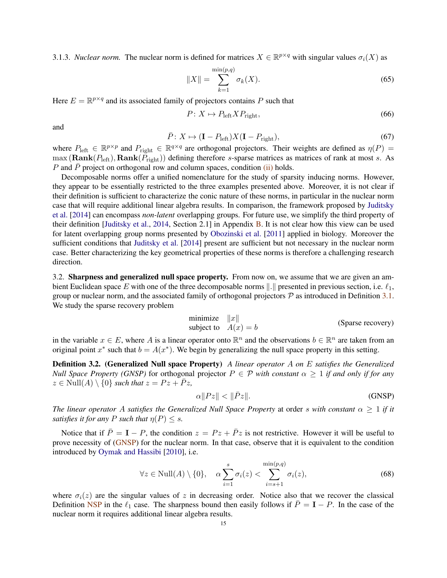3.1.3. *Nuclear norm*. The nuclear norm is defined for matrices  $X \in \mathbb{R}^{p \times q}$  with singular values  $\sigma_i(X)$  as

$$
||X|| = \sum_{k=1}^{\min(p,q)} \sigma_k(X).
$$
 (65)

Here  $E = \mathbb{R}^{p \times q}$  and its associated family of projectors contains P such that

$$
P: X \mapsto P_{\text{left}} X P_{\text{right}},\tag{66}
$$

and

$$
\bar{P}: X \mapsto (\mathbf{I} - P_{\text{left}})X(\mathbf{I} - P_{\text{right}}), \tag{67}
$$

where  $P_{\text{left}} \in \mathbb{R}^{p \times p}$  and  $P_{\text{right}} \in \mathbb{R}^{q \times q}$  are orthogonal projectors. Their weights are defined as  $\eta(P)$  =  $\max(\text{Rank}(P_{\text{left}}), \text{Rank}(\tilde{P}_{\text{right}}))$  defining therefore s-sparse matrices as matrices of rank at most s. As P and P project on orthogonal row and column spaces, condition  $(ii)$  holds.

Decomposable norms offer a unified nomenclature for the study of sparsity inducing norms. However, they appear to be essentially restricted to the three examples presented above. Moreover, it is not clear if their definition is sufficient to characterize the conic nature of these norms, in particular in the nuclear norm case [that will require additional linear algebra results. In comparison, the framework proposed by](#page-23-20) Juditsky et al. [\[2014\]](#page-23-20) can encompass *non-latent* overlapping groups. For future use, we simplify the third property of their definition [\[Juditsky et al.](#page-23-20), [2014](#page-23-20), Section 2.1] in Appendix [B.](#page-25-1) It is not clear how this view can be used for latent overlapping group norms presented by [Obozinski et al.](#page-24-19) [\[2011\]](#page-24-19) applied in biology. Moreover the sufficient conditions that [Juditsky et al.](#page-23-20) [\[2014\]](#page-23-20) present are sufficient but not necessary in the nuclear norm case. Better characterizing the key geometrical properties of these norms is therefore a challenging research direction.

3.2. Sharpness and generalized null space property. From now on, we assume that we are given an ambient Euclidean space E with one of the three decomposable norms  $\|.\|$  presented in previous section, i.e.  $\ell_1$ , group or nuclear norm, and the associated family of orthogonal projectors  $P$  as introduced in Definition [3.1.](#page-13-1) We study the sparse recovery problem

<span id="page-14-1"></span>
$$
\begin{array}{ll}\text{minimize} & ||x||\\ \text{subject to} & A(x) = b \end{array} \tag{Sparse recovery}
$$

in the variable  $x \in E$ , where A is a linear operator onto  $\mathbb{R}^n$  and the observations  $b \in \mathbb{R}^n$  are taken from an original point  $x^*$  such that  $b = A(x^*)$ . We begin by generalizing the null space property in this setting.

Definition 3.2. (Generalized Null space Property) *A linear operator* A *on* E *satisfies the Generalized Null Space Property (GNSP)* for orthogonal projector  $P \in \mathcal{P}$  *with constant*  $\alpha \geq 1$  *if and only if for any*  $z \in Null(A) \setminus \{0\}$  *such that*  $z = Pz + \overline{P}z$ ,

<span id="page-14-0"></span>
$$
\alpha \|Pz\| < \|\bar{P}z\|.\tag{GNSP}
$$

*The linear operator* A *satisfies the Generalized Null Space Property* at order *s with constant*  $\alpha \geq 1$  *if it satisfies it for any* P *such that*  $\eta(P) \leq s$ .

Notice that if  $\bar{P} = I - P$ , the condition  $z = Pz + \bar{P}z$  is not restrictive. However it will be useful to prove necessity of [\(GNSP\)](#page-14-0) for the nuclear norm. In that case, observe that it is equivalent to the condition introduced by [Oymak and Hassibi](#page-24-21) [\[2010](#page-24-21)], i.e.

$$
\forall z \in Null(A) \setminus \{0\}, \quad \alpha \sum_{i=1}^{s} \sigma_i(z) < \sum_{i=s+1}^{\min(p,q)} \sigma_i(z),\tag{68}
$$

where  $\sigma_i(z)$  are the singular values of z in decreasing order. Notice also that we recover the classical Definition [NSP](#page-2-1) in the  $\ell_1$  case. The sharpness bound then easily follows if  $\bar{P} = I - P$ . In the case of the nuclear norm it requires additional linear algebra results.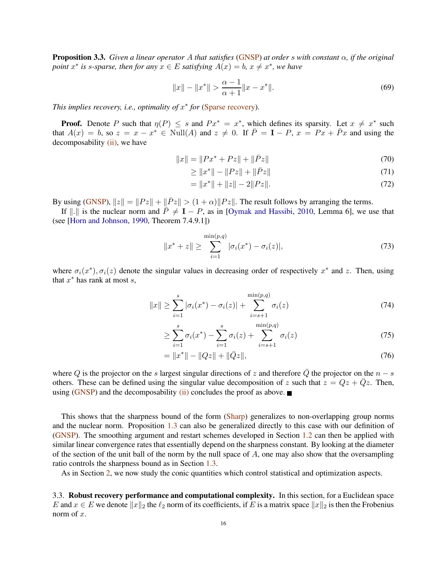<span id="page-15-0"></span>Proposition 3.3. *Given a linear operator* A *that satisfies* [\(GNSP\)](#page-14-0) *at order* s *with constant* α*, if the original point*  $x^*$  *is s-sparse, then for any*  $x \in E$  *satisfying*  $A(x) = b$ *,*  $x \neq x^*$ *, we have* 

$$
||x|| - ||x^*|| > \frac{\alpha - 1}{\alpha + 1} ||x - x^*||. \tag{69}
$$

*This implies recovery, i.e., optimality of*  $x^*$  *for* [\(Sparse recovery\)](#page-14-1).

**Proof.** Denote P such that  $\eta(P) \leq s$  and  $Px^* = x^*$ , which defines its sparsity. Let  $x \neq x^*$  such that  $A(x) = b$ , so  $z = x - x^* \in Null(A)$  and  $z \neq 0$ . If  $\overline{P} = I - P$ ,  $x = Px + \overline{P}x$  and using the decomposability [\(ii\),](#page-13-0) we have

$$
||x|| = ||Px^* + Pz|| + ||\bar{P}z|| \tag{70}
$$

$$
\geq \|x^*\| - \|Pz\| + \|\bar{P}z\| \tag{71}
$$

$$
= \|x^*\| + \|z\| - 2\|Pz\|.
$$
\n(72)

By using [\(GNSP\)](#page-14-0),  $||z|| = ||Pz|| + ||\overline{P}z|| > (1 + \alpha)||Pz||$ . The result follows by arranging the terms.

If  $\|\cdot\|$  is the nuclear norm and  $\bar{P} \neq I - P$ , as in [\[Oymak and Hassibi,](#page-24-21) [2010](#page-24-21), Lemma 6], we use that (see [\[Horn and Johnson,](#page-23-21) [1990](#page-23-21), Theorem 7.4.9.1])

$$
||x^* + z|| \ge \sum_{i=1}^{\min(p,q)} |\sigma_i(x^*) - \sigma_i(z)|,
$$
\n(73)

where  $\sigma_i(x^*)$ ,  $\sigma_i(z)$  denote the singular values in decreasing order of respectively  $x^*$  and  $z$ . Then, using that  $x^*$  has rank at most  $s$ ,

$$
||x|| \ge \sum_{i=1}^{s} |\sigma_i(x^*) - \sigma_i(z)| + \sum_{i=s+1}^{\min(p,q)} \sigma_i(z)
$$
 (74)

$$
\geq \sum_{i=1}^{s} \sigma_i(x^*) - \sum_{i=1}^{s} \sigma_i(z) + \sum_{i=s+1}^{\min(p,q)} \sigma_i(z) \tag{75}
$$

$$
= \|x^*\| - \|Qz\| + \|\bar{Q}z\|,\tag{76}
$$

where Q is the projector on the s largest singular directions of z and therefore  $\overline{Q}$  the projector on the  $n - s$ others. These can be defined using the singular value decomposition of z such that  $z = Qz + \overline{Q}z$ . Then, using [\(GNSP\)](#page-14-0) and the decomposability [\(ii\)](#page-13-0) concludes the proof as above.

This shows that the sharpness bound of the form [\(Sharp\)](#page-2-2) generalizes to non-overlapping group norms and the nuclear norm. Proposition [1.3](#page-3-2) can also be generalized directly to this case with our definition of [\(GNSP\)](#page-14-0). The smoothing argument and restart schemes developed in Section [1.2](#page-3-1) can then be applied with similar linear convergence rates that essentially depend on the sharpness constant. By looking at the diameter of the section of the unit ball of the norm by the null space of  $A$ , one may also show that the oversampling ratio controls the sharpness bound as in Section [1.3.](#page-5-1)

As in Section [2,](#page-7-0) we now study the conic quantities which control statistical and optimization aspects.

3.3. Robust recovery performance and computational complexity. In this section, for a Euclidean space E and  $x \in E$  we denote  $||x||_2$  the  $\ell_2$  norm of its coefficients, if E is a matrix space  $||x||_2$  is then the Frobenius norm of x.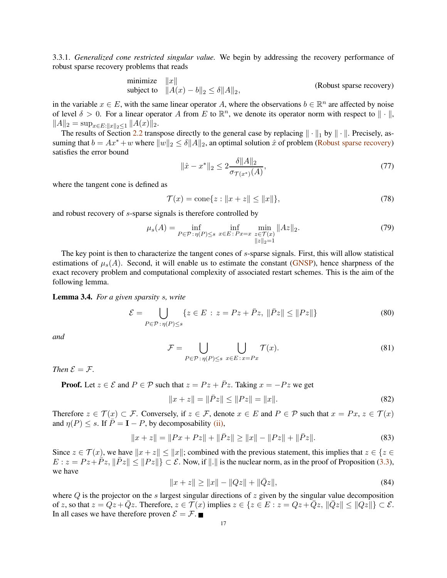3.3.1. *Generalized cone restricted singular value.* We begin by addressing the recovery performance of robust sparse recovery problems that reads

minimize 
$$
||x||
$$
  
subject to  $||A(x) - b||_2 \le \delta ||A||_2$ , (Robust sparse recovery)

in the variable  $x \in E$ , with the same linear operator A, where the observations  $b \in \mathbb{R}^n$  are affected by noise of level  $\delta > 0$ . For a linear operator A from E to  $\mathbb{R}^n$ , we denote its operator norm with respect to  $\|\cdot\|$ ,  $||A||_2 = \sup_{x \in E: ||x||_2 \leq 1} ||A(x)||_2.$ 

The results of Section [2.2](#page-8-0) transpose directly to the general case by replacing  $\|\cdot\|_1$  by  $\|\cdot\|$ . Precisely, assuming that  $b = Ax^* + w$  where  $||w||_2 \le \delta ||A||_2$ , an optimal solution  $\hat{x}$  of problem [\(Robust sparse recovery\)](#page-16-0) satisfies the error bound

<span id="page-16-0"></span>
$$
\|\hat{x} - x^*\|_2 \le 2 \frac{\delta \|A\|_2}{\sigma_{\mathcal{T}(x^*)}(A)},\tag{77}
$$

where the tangent cone is defined as

$$
\mathcal{T}(x) = \text{cone}\{z : \|x + z\| \le \|x\|\},\tag{78}
$$

and robust recovery of s-sparse signals is therefore controlled by

<span id="page-16-1"></span>
$$
\mu_s(A) = \inf_{P \in \mathcal{P} : \eta(P) \le s} \inf_{x \in E : P x = x} \min_{\substack{z \in \mathcal{T}(x) \\ ||z||_2 = 1}} ||Az||_2.
$$
\n(79)

The key point is then to characterize the tangent cones of s-sparse signals. First, this will allow statistical estimations of  $\mu_s(A)$ . Second, it will enable us to estimate the constant [\(GNSP\)](#page-14-0), hence sharpness of the exact recovery problem and computational complexity of associated restart schemes. This is the aim of the following lemma.

## Lemma 3.4. *For a given sparsity* s*, write*

$$
\mathcal{E} = \bigcup_{P \in \mathcal{P} : \eta(P) \le s} \{ z \in E : z = Pz + \bar{P}z, \|\bar{P}z\| \le \|Pz\|\}
$$
(80)

*and*

$$
\mathcal{F} = \bigcup_{P \in \mathcal{P} : \eta(P) \le s} \bigcup_{x \in E : x = Px} \mathcal{T}(x). \tag{81}
$$

*Then*  $\mathcal{E} = \mathcal{F}$ *.* 

**Proof.** Let  $z \in \mathcal{E}$  and  $P \in \mathcal{P}$  such that  $z = Pz + \overline{P}z$ . Taking  $x = -Pz$  we get

$$
||x + z|| = ||\bar{P}z|| \le ||Pz|| = ||x||.
$$
\n(82)

Therefore  $z \in \mathcal{T}(x) \subset \mathcal{F}$ . Conversely, if  $z \in \mathcal{F}$ , denote  $x \in E$  and  $P \in \mathcal{P}$  such that  $x = Px$ ,  $z \in \mathcal{T}(x)$ and  $\eta(P) \leq s$ . If  $\overline{P} = I - P$ , by decomposability [\(ii\),](#page-13-0)

$$
||x+z|| = ||Px+Pz|| + ||\bar{P}z|| \ge ||x|| - ||Pz|| + ||\bar{P}z||.
$$
\n(83)

Since  $z \in \mathcal{T}(x)$ , we have  $||x + z|| \le ||x||$ ; combined with the previous statement, this implies that  $z \in \{z \in \mathcal{T}(x)\}$  $E: z = P z + \bar{P} z$ ,  $\|\bar{P} z\| \leq \|P z\|$   $\subset \mathcal{E}$ . Now, if  $\|.\|$  is the nuclear norm, as in the proof of Proposition [\(3.3\)](#page-15-0), we have

$$
||x+z|| \ge ||x|| - ||Qz|| + ||\bar{Q}z||,
$$
\n(84)

where  $Q$  is the projector on the s largest singular directions of  $z$  given by the singular value decomposition of z, so that  $z = Qz + Qz$ . Therefore,  $z \in \mathcal{T}(x)$  implies  $z \in \{z \in E : z = Qz + Qz, ||Qz|| \le ||Qz|| \} \subset \mathcal{E}$ . In all cases we have therefore proven  $\mathcal{E} = \mathcal{F}$ .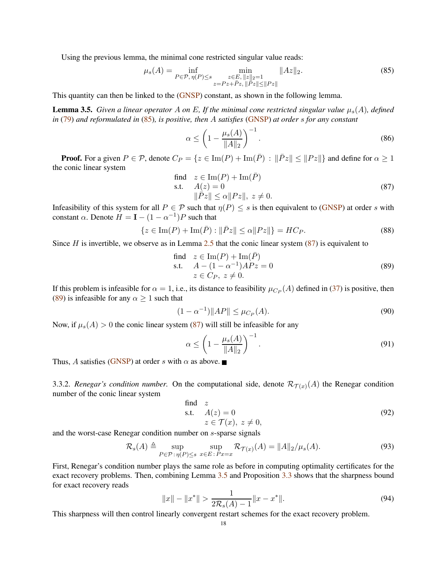Using the previous lemma, the minimal cone restricted singular value reads:

<span id="page-17-0"></span>
$$
\mu_s(A) = \inf_{P \in \mathcal{P}, \ \eta(P) \le s} \min_{\substack{z \in E, \ \|z\|_2 = 1 \\ z = Pz + \bar{P}z, \ \|Pz\| \le \|Pz\|}} \|Az\|_2.
$$
\n(85)

This quantity can then be linked to the [\(GNSP\)](#page-14-0) constant, as shown in the following lemma.

<span id="page-17-3"></span>**Lemma 3.5.** *Given a linear operator* A *on* E, If the minimal cone restricted singular value  $\mu_s(A)$ *, defined in* [\(79\)](#page-16-1) *and reformulated in* [\(85\)](#page-17-0)*, is positive, then* A *satisfies* [\(GNSP\)](#page-14-0) *at order* s *for any constant*

$$
\alpha \le \left(1 - \frac{\mu_s(A)}{\|A\|_2}\right)^{-1}.\tag{86}
$$

**Proof.** For a given  $P \in \mathcal{P}$ , denote  $C_P = \{z \in \text{Im}(P) + \text{Im}(\overline{P}) : ||\overline{P}z|| \le ||Pz||\}$  and define for  $\alpha \ge 1$ the conic linear system

<span id="page-17-1"></span>find 
$$
z \in \text{Im}(P) + \text{Im}(\overline{P})
$$
  
s.t.  $A(z) = 0$   
 $\|\overline{P}z\| \le \alpha \|Pz\|, z \ne 0.$  (87)

Infeasibility of this system for all  $P \in \mathcal{P}$  such that  $\eta(P) \leq s$  is then equivalent to [\(GNSP\)](#page-14-0) at order s with constant  $\alpha$ . Denote  $H = I - (1 - \alpha^{-1})P$  such that

$$
\{z \in \text{Im}(P) + \text{Im}(\bar{P}) : \|\bar{P}z\| \le \alpha \|Pz\|\} = HC_P.
$$
\n(88)

Since  $H$  is invertible, we observe as in Lemma [2.5](#page-9-2) that the conic linear system  $(87)$  is equivalent to

<span id="page-17-2"></span>find 
$$
z \in \text{Im}(P) + \text{Im}(\overline{P})
$$
  
s.t.  $A - (1 - \alpha^{-1})APz = 0$   
 $z \in C_P, z \neq 0.$  (89)

If this problem is infeasible for  $\alpha = 1$ , i.e., its distance to feasibility  $\mu_{C_P}(A)$  defined in [\(37\)](#page-7-5) is positive, then [\(89\)](#page-17-2) is infeasible for any  $\alpha \geq 1$  such that

$$
(1 - \alpha^{-1}) \|AP\| \le \mu_{C_P}(A). \tag{90}
$$

Now, if  $\mu_s(A) > 0$  the conic linear system [\(87\)](#page-17-1) will still be infeasible for any

$$
\alpha \le \left(1 - \frac{\mu_s(A)}{\|A\|_2}\right)^{-1}.\tag{91}
$$

Thus, A satisfies [\(GNSP\)](#page-14-0) at order s with  $\alpha$  as above.

3.3.2. *Renegar's condition number*. On the computational side, denote  $\mathcal{R}_{\mathcal{T}(x)}(A)$  the Renegar condition number of the conic linear system

find z  
s.t. 
$$
A(z) = 0
$$
  
 $z \in \mathcal{T}(x), z \neq 0,$  (92)

and the worst-case Renegar condition number on s-sparse signals

$$
\mathcal{R}_s(A) \triangleq \sup_{P \in \mathcal{P} : \eta(P) \leq s} \sup_{x \in E : P x = x} \mathcal{R}_{\mathcal{T}(x)}(A) = ||A||_2 / \mu_s(A). \tag{93}
$$

First, Renegar's condition number plays the same role as before in computing optimality certificates for the exact recovery problems. Then, combining Lemma [3.5](#page-17-3) and Proposition [3.3](#page-15-0) shows that the sharpness bound for exact recovery reads

$$
||x|| - ||x^*|| > \frac{1}{2\mathcal{R}_s(A) - 1} ||x - x^*||. \tag{94}
$$

This sharpness will then control linearly convergent restart schemes for the exact recovery problem.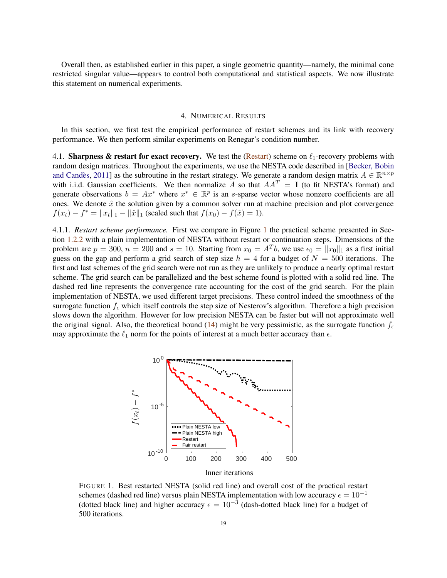Overall then, as established earlier in this paper, a single geometric quantity—namely, the minimal cone restricted singular value—appears to control both computational and statistical aspects. We now illustrate this statement on numerical experiments.

# 4. NUMERICAL RESULTS

<span id="page-18-0"></span>In this section, we first test the empirical performance of restart schemes and its link with recovery performance. We then perform similar experiments on Renegar's condition number.

4.1. Sharpness & restart for exact recovery. We test the [\(Restart\)](#page-4-0) scheme on  $\ell_1$ -recovery problems with random des[ign matrices. Throughout the experiments, we use](#page-22-1) the NESTA code described in [Becker, Bobin and Candès, [2011\]](#page-22-1) as the subroutine in the restart strategy. We generate a random design matrix  $A \in \mathbb{R}^{n \times p}$ with i.i.d. Gaussian coefficients. We then normalize A so that  $AA<sup>T</sup> = I$  (to fit NESTA's format) and generate observations  $b = Ax^*$  where  $x^* \in \mathbb{R}^p$  is an s-sparse vector whose nonzero coefficients are all ones. We denote  $\hat{x}$  the solution given by a common solver run at machine precision and plot convergence  $f(x_t) - f^* = ||x_t||_1 - ||\hat{x}||_1$  (scaled such that  $f(x_0) - f(\hat{x}) = 1$ ).

4.1.1. *Restart scheme performance.* First we compare in Figure [1](#page-18-1) the practical scheme presented in Section [1.2.2](#page-5-2) with a plain implementation of NESTA without restart or continuation steps. Dimensions of the problem are  $p = 300$ ,  $n = 200$  and  $s = 10$ . Starting from  $x_0 = A^T b$ , we use  $\epsilon_0 = ||x_0||_1$  as a first initial guess on the gap and perform a grid search of step size  $h = 4$  for a budget of  $N = 500$  iterations. The first and last schemes of the grid search were not run as they are unlikely to produce a nearly optimal restart scheme. The grid search can be parallelized and the best scheme found is plotted with a solid red line. The dashed red line represents the convergence rate accounting for the cost of the grid search. For the plain implementation of NESTA, we used different target precisions. These control indeed the smoothness of the surrogate function  $f_{\epsilon}$  which itself controls the step size of Nesterov's algorithm. Therefore a high precision slows down the algorithm. However for low precision NESTA can be faster but will not approximate well the original signal. Also, the theoretical bound [\(14\)](#page-3-0) might be very pessimistic, as the surrogate function  $f_{\epsilon}$ may approximate the  $\ell_1$  norm for the points of interest at a much better accuracy than  $\epsilon$ .



<span id="page-18-1"></span>FIGURE 1. Best restarted NESTA (solid red line) and overall cost of the practical restart schemes (dashed red line) versus plain NESTA implementation with low accuracy  $\epsilon = 10^{-1}$ (dotted black line) and higher accuracy  $\epsilon = 10^{-3}$  (dash-dotted black line) for a budget of 500 iterations.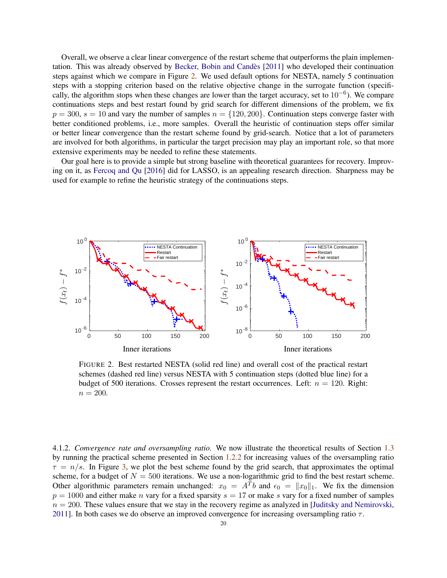Overall, we observe a clear linear convergence of the restart scheme that outperforms the plain implementation. This was already observed by [Becker, Bobin and Cand`es](#page-22-1) [\[2011](#page-22-1)] who developed their continuation steps against which we compare in Figure [2.](#page-19-0) We used default options for NESTA, namely 5 continuation steps with a stopping criterion based on the relative objective change in the surrogate function (specifically, the algorithm stops when these changes are lower than the target accuracy, set to  $10^{-6}$ ). We compare continuations steps and best restart found by grid search for different dimensions of the problem, we fix  $p = 300$ ,  $s = 10$  and vary the number of samples  $n = \{120, 200\}$ . Continuation steps converge faster with better conditioned problems, i.e., more samples. Overall the heuristic of continuation steps offer similar or better linear convergence than the restart scheme found by grid-search. Notice that a lot of parameters are involved for both algorithms, in particular the target precision may play an important role, so that more extensive experiments may be needed to refine these statements.

Our goal here is to provide a simple but strong baseline with theoretical guarantees for recovery. Improving on it, as [Fercoq and Qu](#page-23-6) [\[2016\]](#page-23-6) did for LASSO, is an appealing research direction. Sharpness may be used for example to refine the heuristic strategy of the continuations steps.



<span id="page-19-0"></span>FIGURE 2. Best restarted NESTA (solid red line) and overall cost of the practical restart schemes (dashed red line) versus NESTA with 5 continuation steps (dotted blue line) for a budget of 500 iterations. Crosses represent the restart occurrences. Left:  $n = 120$ . Right:  $n = 200.$ 

4.1.2. *Convergence rate and oversampling ratio.* We now illustrate the theoretical results of Section [1.3](#page-5-1) by running the practical scheme presented in Section [1.2.2](#page-5-2) for increasing values of the oversampling ratio  $\tau = n/s$ . In Figure [3,](#page-20-0) we plot the best scheme found by the grid search, that approximates the optimal scheme, for a budget of  $N = 500$  iterations. We use a non-logarithmic grid to find the best restart scheme. Other algorithmic parameters remain unchanged:  $x_0 = A^T b$  and  $\epsilon_0 = ||x_0||_1$ . We fix the dimension  $p = 1000$  and either make *n* vary for a fixed sparsity  $s = 17$  or make *s* vary for a fixed number of samples  $n = 200$ . These values ensure that we stay in the recovery regime as analyzed in [\[Juditsky and Nemirovski](#page-23-14), [2011\]](#page-23-14). In both cases we do observe an improved convergence for increasing oversampling ratio  $\tau$ .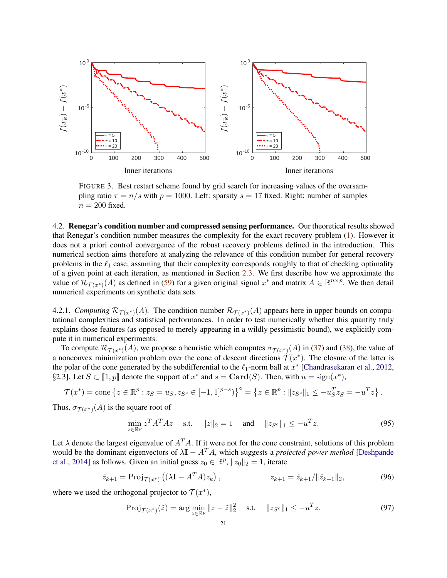

<span id="page-20-0"></span>FIGURE 3. Best restart scheme found by grid search for increasing values of the oversampling ratio  $\tau = n/s$  with  $p = 1000$ . Left: sparsity  $s = 17$  fixed. Right: number of samples  $n = 200$  fixed.

4.2. Renegar's condition number and compressed sensing performance. Our theoretical results showed that Renegar's condition number measures the complexity for the exact recovery problem [\(1\)](#page-0-0). However it does not a priori control convergence of the robust recovery problems defined in the introduction. This numerical section aims therefore at analyzing the relevance of this condition number for general recovery problems in the  $\ell_1$  case, assuming that their complexity corresponds roughly to that of checking optimality of a given point at each iteration, as mentioned in Section [2.3.](#page-10-1) We first describe how we approximate the value of  $\mathcal{R}_{\mathcal{T}(x^*)}(A)$  as defined in [\(59\)](#page-11-3) for a given original signal  $x^*$  and matrix  $A \in \mathbb{R}^{n \times p}$ . We then detail numerical experiments on synthetic data sets.

4.2.1. *Computing*  $\mathcal{R}_{\mathcal{T}(x^*)}(A)$ . The condition number  $\mathcal{R}_{\mathcal{T}(x^*)}(A)$  appears here in upper bounds on computational complexities and statistical performances. In order to test numerically whether this quantity truly explains those features (as opposed to merely appearing in a wildly pessimistic bound), we explicitly compute it in numerical experiments.

To compute  $\mathcal{R}_{\mathcal{T}(x^*)}(A)$ , we propose a heuristic which computes  $\sigma_{\mathcal{T}(x^*)}(A)$  in [\(37\)](#page-7-5) and [\(38\)](#page-7-2), the value of a nonconvex minimization problem over the cone of descent directions  $\mathcal{T}(x^*)$ . The closure of the latter is the polar of the cone generated by the subdifferential to the  $\ell_1$ -norm ball at  $x^*$  [\[Chandrasekaran et al.](#page-23-3), [2012](#page-23-3), §2.3]. Let  $S \subset [1, p]$  denote the support of  $x^*$  and  $s = \text{Card}(S)$ . Then, with  $u = \text{sign}(x^*)$ ,

$$
\mathcal{T}(x^*) = \text{cone}\left\{z \in \mathbb{R}^p : z_S = u_S, z_{S^c} \in [-1, 1]^{p-s}\right\}^\circ = \left\{z \in \mathbb{R}^p : ||z_{S^c}||_1 \leq -u_S^T z_S = -u^T z\right\}.
$$

Thus,  $\sigma_{\mathcal{T}(x^*)}(A)$  is the square root of

<span id="page-20-1"></span>
$$
\min_{z \in \mathbb{R}^p} z^T A^T A z \quad \text{s.t.} \quad \|z\|_2 = 1 \quad \text{and} \quad \|z_{S^c}\|_1 \le -u^T z. \tag{95}
$$

Let  $\lambda$  denote the largest eigenvalue of  $A<sup>T</sup>A$ . If it were not for the cone constraint, solutions of this problem wou[ld be the dominant eigenvectors of](#page-23-22)  $\lambda I - A<sup>T</sup> A$ , which suggests a *projected power method* [Deshpande et al., [2014](#page-23-22)] as follows. Given an initial guess  $z_0 \in \mathbb{R}^p$ ,  $||z_0||_2 = 1$ , iterate

$$
\hat{z}_{k+1} = \text{Proj}_{\mathcal{T}(x^*)} \left( (\lambda \mathbf{I} - A^T A) z_k \right), \qquad z_{k+1} = \hat{z}_{k+1} / ||\hat{z}_{k+1}||_2, \tag{96}
$$

where we used the orthogonal projector to  $\mathcal{T}(x^*),$ 

$$
Proj_{\mathcal{T}(x^*)}(\tilde{z}) = \arg \min_{z \in \mathbb{R}^p} \|z - \tilde{z}\|_2^2 \quad \text{s.t.} \quad \|z_{S^c}\|_1 \le -u^T z. \tag{97}
$$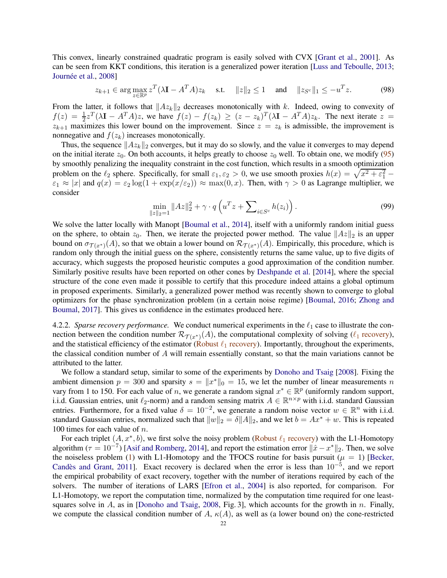This convex, linearly constrained quadratic program is easily solved with CVX [\[Grant et al.](#page-23-23), [2001\]](#page-23-23). As can be seen from KKT conditions, this iteration is a generalized power iteration [\[Luss and Teboulle](#page-23-24), [2013;](#page-23-24) Journée et al., [2008\]](#page-23-25)

$$
z_{k+1} \in \arg \max_{z \in \mathbb{R}^p} z^T (\lambda \mathbf{I} - A^T A) z_k \quad \text{s.t.} \quad ||z||_2 \le 1 \quad \text{and} \quad ||z_{S^c}||_1 \le -u^T z. \tag{98}
$$

From the latter, it follows that  $||Az_k||_2$  decreases monotonically with k. Indeed, owing to convexity of  $f(z) = \frac{1}{2}z^T(\lambda \mathbf{I} - A^T A)z$ , we have  $f(z) - f(z_k) \geq (z - z_k)^T(\lambda \mathbf{I} - A^T A)z_k$ . The next iterate  $z =$  $z_{k+1}$  maximizes this lower bound on the improvement. Since  $z = z_k$  is admissible, the improvement is nonnegative and  $f(z_k)$  increases monotonically.

Thus, the sequence  $||Az_k||_2$  converges, but it may do so slowly, and the value it converges to may depend on the initial iterate  $z_0$ . On both accounts, it helps greatly to choose  $z_0$  well. To obtain one, we modify [\(95\)](#page-20-1) by smoothly penalizing the inequality constraint in the cost function, which results in a smooth optimization problem on the  $\ell_2$  sphere. Specifically, for small  $\varepsilon_1, \varepsilon_2 > 0$ , we use smooth proxies  $h(x) = \sqrt{x^2 + \varepsilon_1^2}$  $\epsilon_1 \approx |x|$  and  $q(x) = \epsilon_2 \log(1 + \exp(x/\epsilon_2)) \approx \max(0, x)$ . Then, with  $\gamma > 0$  as Lagrange multiplier, we consider

$$
\min_{\|z\|_2=1} \|Az\|_2^2 + \gamma \cdot q\left(u^T z + \sum_{i \in S^c} h(z_i)\right).
$$
\n(99)

We solve the latter locally with Manopt [\[Boumal et al.,](#page-23-26) [2014](#page-23-26)], itself with a uniformly random initial guess on the sphere, to obtain  $z_0$ . Then, we iterate the projected power method. The value  $||Az||_2$  is an upper bound on  $\sigma_{\mathcal{T}(x^*)}(A)$ , so that we obtain a lower bound on  $\mathcal{R}_{\mathcal{T}(x^*)}(A)$ . Empirically, this procedure, which is random only through the initial guess on the sphere, consistently returns the same value, up to five digits of accuracy, which suggests the proposed heuristic computes a good approximation of the condition number. Similarly positive results have been reported on other cones by [Deshpande et al.](#page-23-22) [\[2014\]](#page-23-22), where the special structure of the cone even made it possible to certify that this procedure indeed attains a global optimum in proposed experiments. Similarly, a generalized power method was recently shown to converge to global optimiz[ers for the phase synchronization problem \(in a certain noise regime\)](#page-24-22) [\[Boumal](#page-22-11)[,](#page-24-22) [2016](#page-22-11); Zhong and Boumal, [2017\]](#page-24-22). This gives us confidence in the estimates produced here.

4.2.2. *Sparse recovery performance.* We conduct numerical experiments in the  $\ell_1$  case to illustrate the connection between the condition number  $\mathcal{R}_{\mathcal{T}(x^*)}(A)$ , the computational complexity of solving ( $\ell_1$  [recovery\)](#page-2-0), and the statistical efficiency of the estimator (Robust  $\ell_1$  [recovery\)](#page-8-1). Importantly, throughout the experiments, the classical condition number of A will remain essentially constant, so that the main variations cannot be attributed to the latter.

We follow a standard setup, similar to some of the experiments by [Donoho and Tsaig](#page-23-0) [\[2008](#page-23-0)]. Fixing the ambient dimension  $p = 300$  and sparsity  $s = ||x^*||_0 = 15$ , we let the number of linear measurements n vary from 1 to 150. For each value of *n*, we generate a random signal  $x^* \in \mathbb{R}^p$  (uniformly random support, i.i.d. Gaussian entries, unit  $\ell_2$ -norm) and a random sensing matrix  $A \in \mathbb{R}^{n \times p}$  with i.i.d. standard Gaussian entries. Furthermore, for a fixed value  $\delta = 10^{-2}$ , we generate a random noise vector  $w \in \mathbb{R}^n$  with i.i.d. standard Gaussian entries, normalized such that  $||w||_2 = \delta ||A||_2$ , and we let  $b = Ax^* + w$ . This is repeated 100 times for each value of  $n$ .

For each triplet  $(A, x^*, b)$ , we first solve the noisy problem (Robust  $\ell_1$  [recovery\)](#page-8-1) with the L1-Homotopy algorithm ( $\tau = 10^{-7}$ ) [\[Asif and Romberg,](#page-22-10) [2014\]](#page-22-10), and report the estimation error  $\|\hat{x} - x^*\|_2$ . Then, we solve the noiseless prob[lem](#page-22-2) [\(1\)](#page-0-0) [with L1-Homotopy and the TFOCS routine for basis pursuit \(](#page-22-2) $\mu = 1$ ) [Becker, Candès and Grant, [2011\]](#page-22-2). Exact recovery is declared when the error is less than  $10^{-5}$ , and we report the empirical probability of exact recovery, together with the number of iterations required by each of the solvers. The number of iterations of LARS [\[Efron et al.](#page-23-4), [2004\]](#page-23-4) is also reported, for comparison. For L1-Homotopy, we report the computation time, normalized by the computation time required for one leastsquares solve in  $A$ , as in [\[Donoho and Tsaig,](#page-23-0) [2008,](#page-23-0) Fig. 3], which accounts for the growth in  $n$ . Finally, we compute the classical condition number of A,  $\kappa(A)$ , as well as (a lower bound on) the cone-restricted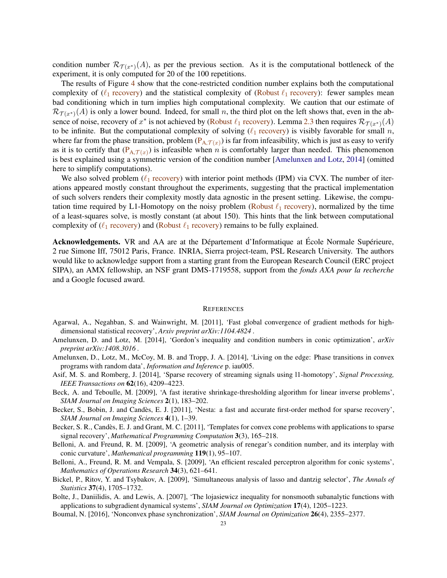condition number  $\mathcal{R}_{\mathcal{T}(x^*)}(A)$ , as per the previous section. As it is the computational bottleneck of the experiment, it is only computed for 20 of the 100 repetitions.

The results of Figure [4](#page-27-0) show that the cone-restricted condition number explains both the computational complexity of ( $\ell_1$  [recovery\)](#page-8-1) and the statistical complexity of (Robust  $\ell_1$  recovery): fewer samples mean bad conditioning which in turn implies high computational complexity. We caution that our estimate of  $\mathcal{R}_{\mathcal{T}(x^*)}(A)$  is only a lower bound. Indeed, for small n, the third plot on the left shows that, even in the absence of noise, recovery of  $x^*$  is not achieved by (Robust  $\ell_1$  [recovery\)](#page-8-1). Lemma [2.3](#page-8-3) then requires  $\mathcal{R}_{\mathcal{T}(x^*)}(A)$ to be infinite. But the computational complexity of solving  $(\ell_1$  [recovery\)](#page-2-0) is visibly favorable for small n, where far from the phase transition, problem  $(P_{A,T(x)})$  $(P_{A,T(x)})$  is far from infeasibility, which is just as easy to verify as it is to certify that  $(P_{A,\mathcal{T}(x)})$  is infeasible when n is comfortably larger than needed. This phenomenon is best explained using a symmetric version of the condition number [\[Amelunxen and Lotz](#page-22-6), [2014](#page-22-6)] (omitted here to simplify computations).

We also solved problem  $(\ell_1$  [recovery\)](#page-2-0) with interior point methods (IPM) via CVX. The number of iterations appeared mostly constant throughout the experiments, suggesting that the practical implementation of such solvers renders their complexity mostly data agnostic in the present setting. Likewise, the computation time required by L1-Homotopy on the noisy problem (Robust  $\ell_1$  [recovery\)](#page-8-1), normalized by the time of a least-squares solve, is mostly constant (at about 150). This hints that the link between computational complexity of ( $\ell_1$  [recovery\)](#page-8-1) and (Robust  $\ell_1$  recovery) remains to be fully explained.

Acknowledgements. VR and AA are at the Département d'Informatique at École Normale Supérieure, 2 rue Simone Iff, 75012 Paris, France. INRIA, Sierra project-team, PSL Research University. The authors would like to acknowledge support from a starting grant from the European Research Council (ERC project SIPA), an AMX fellowship, an NSF grant DMS-1719558, support from the *fonds AXA pour la recherche* and a Google focused award.

#### **REFERENCES**

- <span id="page-22-3"></span>Agarwal, A., Negahban, S. and Wainwright, M. [2011], 'Fast global convergence of gradient methods for highdimensional statistical recovery', *Arxiv preprint arXiv:1104.4824* .
- <span id="page-22-6"></span>Amelunxen, D. and Lotz, M. [2014], 'Gordon's inequality and condition numbers in conic optimization', *arXiv preprint arXiv:1408.3016* .
- <span id="page-22-4"></span>Amelunxen, D., Lotz, M., McCoy, M. B. and Tropp, J. A. [2014], 'Living on the edge: Phase transitions in convex programs with random data', *Information and Inference* p. iau005.
- <span id="page-22-10"></span>Asif, M. S. and Romberg, J. [2014], 'Sparse recovery of streaming signals using l1-homotopy', *Signal Processing, IEEE Transactions on* 62(16), 4209–4223.
- <span id="page-22-0"></span>Beck, A. and Teboulle, M. [2009], 'A fast iterative shrinkage-thresholding algorithm for linear inverse problems', *SIAM Journal on Imaging Sciences* 2(1), 183–202.
- <span id="page-22-1"></span>Becker, S., Bobin, J. and Candès, E. J. [2011], 'Nesta: a fast and accurate first-order method for sparse recovery', *SIAM Journal on Imaging Sciences* 4(1), 1–39.
- <span id="page-22-2"></span>Becker, S. R., Candès, E. J. and Grant, M. C. [2011], 'Templates for convex cone problems with applications to sparse signal recovery', *Mathematical Programming Computation* 3(3), 165–218.
- <span id="page-22-7"></span>Belloni, A. and Freund, R. M. [2009], 'A geometric analysis of renegar's condition number, and its interplay with conic curvature', *Mathematical programming* 119(1), 95–107.
- <span id="page-22-9"></span>Belloni, A., Freund, R. M. and Vempala, S. [2009], 'An efficient rescaled perceptron algorithm for conic systems', *Mathematics of Operations Research* 34(3), 621–641.
- <span id="page-22-8"></span>Bickel, P., Ritov, Y. and Tsybakov, A. [2009], 'Simultaneous analysis of lasso and dantzig selector', *The Annals of Statistics* 37(4), 1705–1732.
- <span id="page-22-5"></span>Bolte, J., Daniilidis, A. and Lewis, A. [2007], 'The lojasiewicz inequality for nonsmooth subanalytic functions with applications to subgradient dynamical systems', *SIAM Journal on Optimization* 17(4), 1205–1223.
- <span id="page-22-11"></span>Boumal, N. [2016], 'Nonconvex phase synchronization', *SIAM Journal on Optimization* 26(4), 2355–2377.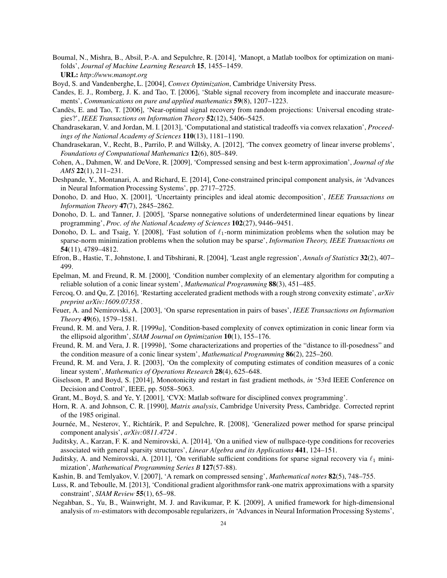- <span id="page-23-26"></span>Boumal, N., Mishra, B., Absil, P.-A. and Sepulchre, R. [2014], 'Manopt, a Matlab toolbox for optimization on manifolds', *Journal of Machine Learning Research* 15, 1455–1459. URL: *http://www.manopt.org*
- <span id="page-23-18"></span>Boyd, S. and Vandenberghe, L. [2004], *Convex Optimization*, Cambridge University Press.
- <span id="page-23-13"></span>Candes, E. J., Romberg, J. K. and Tao, T. [2006], 'Stable signal recovery from incomplete and inaccurate measurements', *Communications on pure and applied mathematics* 59(8), 1207–1223.
- <span id="page-23-2"></span>Candès, E. and Tao, T. [2006], 'Near-optimal signal recovery from random projections: Universal encoding strategies?', *IEEE Transactions on Information Theory* 52(12), 5406–5425.
- <span id="page-23-7"></span>Chandrasekaran, V. and Jordan, M. I. [2013], 'Computational and statistical tradeoffs via convex relaxation', *Proceedings of the National Academy of Sciences* 110(13), 1181–1190.
- <span id="page-23-3"></span>Chandrasekaran, V., Recht, B., Parrilo, P. and Willsky, A. [2012], 'The convex geometry of linear inverse problems', *Foundations of Computational Mathematics* 12(6), 805–849.
- <span id="page-23-8"></span>Cohen, A., Dahmen, W. and DeVore, R. [2009], 'Compressed sensing and best k-term approximation', *Journal of the AMS* 22(1), 211–231.
- <span id="page-23-22"></span>Deshpande, Y., Montanari, A. and Richard, E. [2014], Cone-constrained principal component analysis, *in* 'Advances in Neural Information Processing Systems', pp. 2717–2725.
- <span id="page-23-9"></span>Donoho, D. and Huo, X. [2001], 'Uncertainty principles and ideal atomic decomposition', *IEEE Transactions on Information Theory* 47(7), 2845–2862.
- <span id="page-23-1"></span>Donoho, D. L. and Tanner, J. [2005], 'Sparse nonnegative solutions of underdetermined linear equations by linear programming', *Proc. of the National Academy of Sciences* 102(27), 9446–9451.
- <span id="page-23-0"></span>Donoho, D. L. and Tsaig, Y. [2008], 'Fast solution of  $\ell_1$ -norm minimization problems when the solution may be sparse-norm minimization problems when the solution may be sparse', *Information Theory, IEEE Transactions on* 54(11), 4789–4812.
- <span id="page-23-4"></span>Efron, B., Hastie, T., Johnstone, I. and Tibshirani, R. [2004], 'Least angle regression', *Annals of Statistics* 32(2), 407– 499.
- <span id="page-23-16"></span>Epelman, M. and Freund, R. M. [2000], 'Condition number complexity of an elementary algorithm for computing a reliable solution of a conic linear system', *Mathematical Programming* 88(3), 451–485.
- <span id="page-23-6"></span>Fercoq, O. and Qu, Z. [2016], 'Restarting accelerated gradient methods with a rough strong convexity estimate', *arXiv preprint arXiv:1609.07358* .
- <span id="page-23-10"></span>Feuer, A. and Nemirovski, A. [2003], 'On sparse representation in pairs of bases', *IEEE Transactions on Information Theory* 49(6), 1579–1581.
- <span id="page-23-15"></span>Freund, R. M. and Vera, J. R. [1999*a*], 'Condition-based complexity of convex optimization in conic linear form via the ellipsoid algorithm', *SIAM Journal on Optimization* 10(1), 155–176.
- <span id="page-23-12"></span>Freund, R. M. and Vera, J. R. [1999*b*], 'Some characterizations and properties of the "distance to ill-posedness" and the condition measure of a conic linear system', *Mathematical Programming* 86(2), 225–260.
- <span id="page-23-17"></span>Freund, R. M. and Vera, J. R. [2003], 'On the complexity of computing estimates of condition measures of a conic linear system', *Mathematics of Operations Research* 28(4), 625–648.
- <span id="page-23-5"></span>Giselsson, P. and Boyd, S. [2014], Monotonicity and restart in fast gradient methods, *in* '53rd IEEE Conference on Decision and Control', IEEE, pp. 5058–5063.
- <span id="page-23-23"></span>Grant, M., Boyd, S. and Ye, Y. [2001], 'CVX: Matlab software for disciplined convex programming'.
- <span id="page-23-21"></span>Horn, R. A. and Johnson, C. R. [1990], *Matrix analysis*, Cambridge University Press, Cambridge. Corrected reprint of the 1985 original.
- <span id="page-23-25"></span>Journée, M., Nesterov, Y., Richtárik, P. and Sepulchre, R. [2008], 'Generalized power method for sparse principal component analysis', *arXiv:0811.4724* .
- <span id="page-23-20"></span>Juditsky, A., Karzan, F. K. and Nemirovski, A. [2014], 'On a unified view of nullspace-type conditions for recoveries associated with general sparsity structures', *Linear Algebra and its Applications* 441, 124–151.
- <span id="page-23-14"></span>Juditsky, A. and Nemirovski, A. [2011], 'On verifiable sufficient conditions for sparse signal recovery via  $\ell_1$  minimization', *Mathematical Programming Series B* 127(57-88).
- <span id="page-23-11"></span>Kashin, B. and Temlyakov, V. [2007], 'A remark on compressed sensing', *Mathematical notes* 82(5), 748–755.
- <span id="page-23-24"></span>Luss, R. and Teboulle, M. [2013], 'Conditional gradient algorithmsfor rank-one matrix approximations with a sparsity constraint', *SIAM Review* 55(1), 65–98.
- <span id="page-23-19"></span>Negahban, S., Yu, B., Wainwright, M. J. and Ravikumar, P. K. [2009], A unified framework for high-dimensional analysis of m-estimators with decomposable regularizers, *in* 'Advances in Neural Information Processing Systems',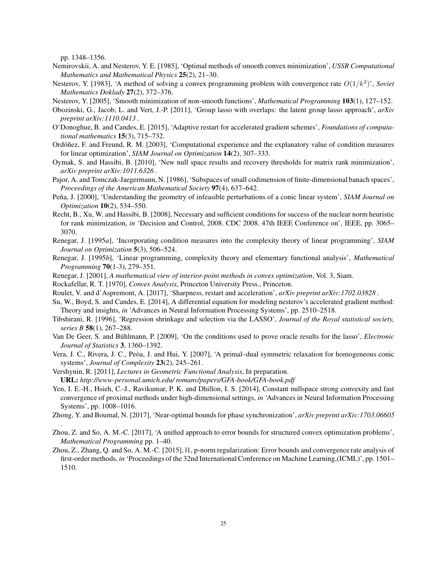pp. 1348–1356.

- <span id="page-24-6"></span>Nemirovskii, A. and Nesterov, Y. E. [1985], 'Optimal methods of smooth convex minimization', *USSR Computational Mathematics and Mathematical Physics* 25(2), 21–30.
- <span id="page-24-9"></span>Nesterov, Y. [1983], 'A method of solving a convex programming problem with convergence rate O(1/k<sup>2</sup> )', *Soviet Mathematics Doklady* 27(2), 372–376.
- <span id="page-24-8"></span>Nesterov, Y. [2005], 'Smooth minimization of non-smooth functions', *Mathematical Programming* 103(1), 127–152.
- <span id="page-24-19"></span>Obozinski, G., Jacob, L. and Vert, J.-P. [2011], 'Group lasso with overlaps: the latent group lasso approach', *arXiv preprint arXiv:1110.0413* .
- <span id="page-24-4"></span>O'Donoghue, B. and Candes, E. [2015], 'Adaptive restart for accelerated gradient schemes', *Foundations of computational mathematics* 15(3), 715–732.
- <span id="page-24-18"></span>Ordóñez, F. and Freund, R. M. [2003], 'Computational experience and the explanatory value of condition measures for linear optimization', *SIAM Journal on Optimization* 14(2), 307–333.
- <span id="page-24-21"></span>Oymak, S. and Hassibi, B. [2010], 'New null space results and recovery thresholds for matrix rank minimization', *arXiv preprint arXiv:1011.6326* .
- <span id="page-24-10"></span>Pajor, A. and Tomczak-Jaegermann, N. [1986], 'Subspaces of small codimension of finite-dimensional banach spaces', *Proceedings of the American Mathematical Society* 97(4), 637–642.
- <span id="page-24-16"></span>Peña, J. [2000], 'Understanding the geometry of infeasible perturbations of a conic linear system', *SIAM Journal on Optimization* 10(2), 534–550.
- <span id="page-24-20"></span>Recht, B., Xu, W. and Hassibi, B. [2008], Necessary and sufficient conditions for success of the nuclear norm heuristic for rank minimization, *in* 'Decision and Control, 2008. CDC 2008. 47th IEEE Conference on', IEEE, pp. 3065– 3070.
- <span id="page-24-15"></span>Renegar, J. [1995*a*], 'Incorporating condition measures into the complexity theory of linear programming', *SIAM Journal on Optimization* 5(3), 506–524.
- <span id="page-24-13"></span>Renegar, J. [1995*b*], 'Linear programming, complexity theory and elementary functional analysis', *Mathematical Programming* 70(1-3), 279–351.
- <span id="page-24-14"></span>Renegar, J. [2001], *A mathematical view of interior-point methods in convex optimization*, Vol. 3, Siam.
- <span id="page-24-23"></span>Rockafellar, R. T. [1970], *Convex Analysis*, Princeton University Press., Princeton.
- <span id="page-24-7"></span>Roulet, V. and d'Aspremont, A. [2017], 'Sharpness, restart and acceleration', *arXiv preprint arXiv:1702.03828* .
- <span id="page-24-5"></span>Su, W., Boyd, S. and Candes, E. [2014], A differential equation for modeling nesterov's accelerated gradient method: Theory and insights, *in* 'Advances in Neural Information Processing Systems', pp. 2510–2518.
- <span id="page-24-0"></span>Tibshirani, R. [1996], 'Regression shrinkage and selection via the LASSO', *Journal of the Royal statistical society, series B* 58(1), 267–288.
- <span id="page-24-12"></span>Van De Geer, S. and Bühlmann, P. [2009], 'On the conditions used to prove oracle results for the lasso', *Electronic Journal of Statistics* 3, 1360–1392.
- <span id="page-24-17"></span>Vera, J. C., Rivera, J. C., Peòa, J. and Hui, Y. [2007], 'A primal-dual symmetric relaxation for homogeneous conic systems', *Journal of Complexity* 23(2), 245–261.
- <span id="page-24-11"></span>Vershynin, R. [2011], *Lectures in Geometric Functional Analysis*, In preparation. URL: *http://www-personal.umich.edu/ romanv/papers/GFA-book/GFA-book.pdf*
- <span id="page-24-1"></span>Yen, I. E.-H., Hsieh, C.-J., Ravikumar, P. K. and Dhillon, I. S. [2014], Constant nullspace strong convexity and fast convergence of proximal methods under high-dimensional settings, *in* 'Advances in Neural Information Processing Systems', pp. 1008–1016.
- <span id="page-24-22"></span>Zhong, Y. and Boumal, N. [2017], 'Near-optimal bounds for phase synchronization', *arXiv preprint arXiv:1703.06605* .
- <span id="page-24-3"></span>Zhou, Z. and So, A. M.-C. [2017], 'A unified approach to error bounds for structured convex optimization problems', *Mathematical Programming* pp. 1–40.
- <span id="page-24-2"></span>Zhou, Z., Zhang, Q. and So, A. M.-C. [2015], l1, p-norm regularization: Error bounds and convergence rate analysis of first-order methods, *in* 'Proceedings of the 32nd International Conference on Machine Learning,(ICML)', pp. 1501– 1510.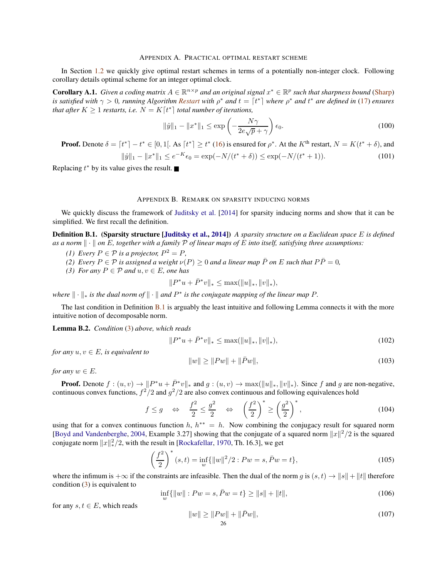<span id="page-25-0"></span>In Section [1.2](#page-3-1) we quickly give optimal restart schemes in terms of a potentially non-integer clock. Following corollary details optimal scheme for an integer optimal clock.

**Corollary A.1.** *Given a coding matrix*  $A \in \mathbb{R}^{n \times p}$  *and an original signal*  $x^* \in \mathbb{R}^p$  *such that sharpness bound* [\(Sharp\)](#page-2-2) *is satisfied with*  $\gamma > 0$ , *running Algorithm [Restart](#page-4-0) with*  $\rho^*$  *and*  $t = \lceil t^* \rceil$  *where*  $\rho^*$  *and*  $t^*$  *are defined in* [\(17\)](#page-4-3) *ensures that after*  $K \geq 1$  *restarts, i.e.*  $N = K[t^*]$  *total number of iterations,* 

$$
\|\hat{y}\|_1 - \|x^*\|_1 \le \exp\left(-\frac{N\gamma}{2e\sqrt{p} + \gamma}\right)\epsilon_0.
$$
\n(100)

**Proof.** Denote  $\delta = \lceil t^* \rceil - t^* \in [0, 1]$ . As  $\lceil t^* \rceil \ge t^*$  [\(16\)](#page-4-1) is ensured for  $\rho^*$ . At the  $K^{\text{th}}$  restart,  $N = K(t^* + \delta)$ , and

$$
\|\hat{y}\|_1 - \|x^*\|_1 \le e^{-K}\epsilon_0 = \exp(-N/(t^* + \delta)) \le \exp(-N/(t^* + 1)).\tag{101}
$$

Replacing  $t^*$  by its value gives the result.

#### APPENDIX B. REMARK ON SPARSITY INDUCING NORMS

<span id="page-25-1"></span>We quickly discuss the framework of [Juditsky et al.](#page-23-20) [\[2014\]](#page-23-20) for sparsity inducing norms and show that it can be simplified. We first recall the definition.

<span id="page-25-2"></span>Definition B.1. (Sparsity structure [\[Juditsky et al.,](#page-23-20) [2014\]](#page-23-20)) *A sparsity structure on a Euclidean space* E *is defined* as a norm  $\|\cdot\|$  on E, together with a family P of linear maps of E into itself, satisfying three assumptions:

- *(1)* Every  $P \in \mathcal{P}$  *is a projector,*  $P^2 = P$ *,*
- <span id="page-25-3"></span>*(2)* Every  $P \in \mathcal{P}$  *is assigned a weight*  $\nu(P) \geq 0$  *and a linear map*  $\overline{P}$  *on* E *such that*  $P\overline{P} = 0$ *,*
- *(3)* For any  $P \in \mathcal{P}$  and  $u, v \in E$ , one has

$$
||P^*u + \bar{P}^*v||_* \le \max(||u||_*, ||v||_*)
$$

*where*  $\|\cdot\|_*$  *is the dual norm of*  $\|\cdot\|$  *and*  $P^*$  *is the conjugate mapping of the linear map*  $P$ *.* 

The last condition in Definition [B.1](#page-25-2) is arguably the least intuitive and following Lemma connects it with the more intuitive notion of decomposable norm.

Lemma B.2. *Condition* [\(3\)](#page-25-3) *above, which reads*

$$
||P^*u + \bar{P}^*v||_* \le \max(||u||_*, ||v||_*)
$$
\n(102)

*for any*  $u, v \in E$ *, is equivalent to* 

$$
||w|| \ge ||Pw|| + ||\bar{P}w||,\tag{103}
$$

*for any*  $w \in E$ *.* 

**Proof.** Denote  $f : (u, v) \to \|P^*u + \overline{P^*}v\|_*$  and  $g : (u, v) \to \max(\|u\|_*, \|v\|_*)$ . Since f and g are non-negative, continuous convex functions,  $f^2/2$  and  $g^2/2$  are also convex continuous and following equivalences hold

$$
f \le g \quad \Leftrightarrow \quad \frac{f^2}{2} \le \frac{g^2}{2} \quad \Leftrightarrow \quad \left(\frac{f^2}{2}\right)^* \ge \left(\frac{g^2}{2}\right)^*,
$$
 (104)

using that for a convex continuous function  $h$ ,  $h^{**} = h$ . Now combining the conjugacy result for squared norm [\[Boyd and Vandenberghe](#page-23-18), [2004,](#page-23-18) Example 3.27] showing that the conjugate of a squared norm  $||x||^2/2$  is the squared conjugate norm  $||x||_*^2/2$ , with the result in [\[Rockafellar,](#page-24-23) [1970,](#page-24-23) Th. 16.3], we get

$$
\left(\frac{f^2}{2}\right)^*(s,t) = \inf_w \{ ||w||^2/2 : Pw = s, \bar{P}w = t \},\tag{105}
$$

where the infimum is  $+\infty$  if the constraints are infeasible. Then the dual of the norm g is  $(s, t) \to ||s|| + ||t||$  therefore condition  $(3)$  is equivalent to

$$
\inf_{w} \{ \|w\| : Pw = s, \bar{P}w = t \} \ge \|s\| + \|t\|,\tag{106}
$$

for any  $s, t \in E$ , which reads

$$
||w|| \ge ||Pw|| + ||\bar{P}w||,
$$
\n(107)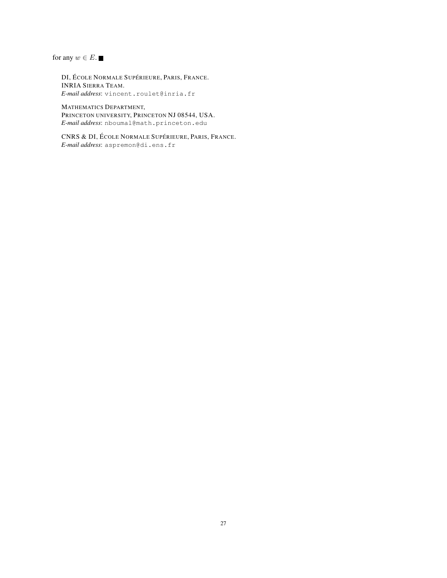for any  $w \in E$ .

DI, ÉCOLE NORMALE SUPÉRIEURE, PARIS, FRANCE. INRIA SIERRA TEAM. *E-mail address*: vincent.roulet@inria.fr

MATHEMATICS DEPARTMENT, PRINCETON UNIVERSITY, PRINCETON NJ 08544, USA. *E-mail address*: nboumal@math.princeton.edu

CNRS & DI, ÉCOLE NORMALE SUPÉRIEURE, PARIS, FRANCE. *E-mail address*: aspremon@di.ens.fr